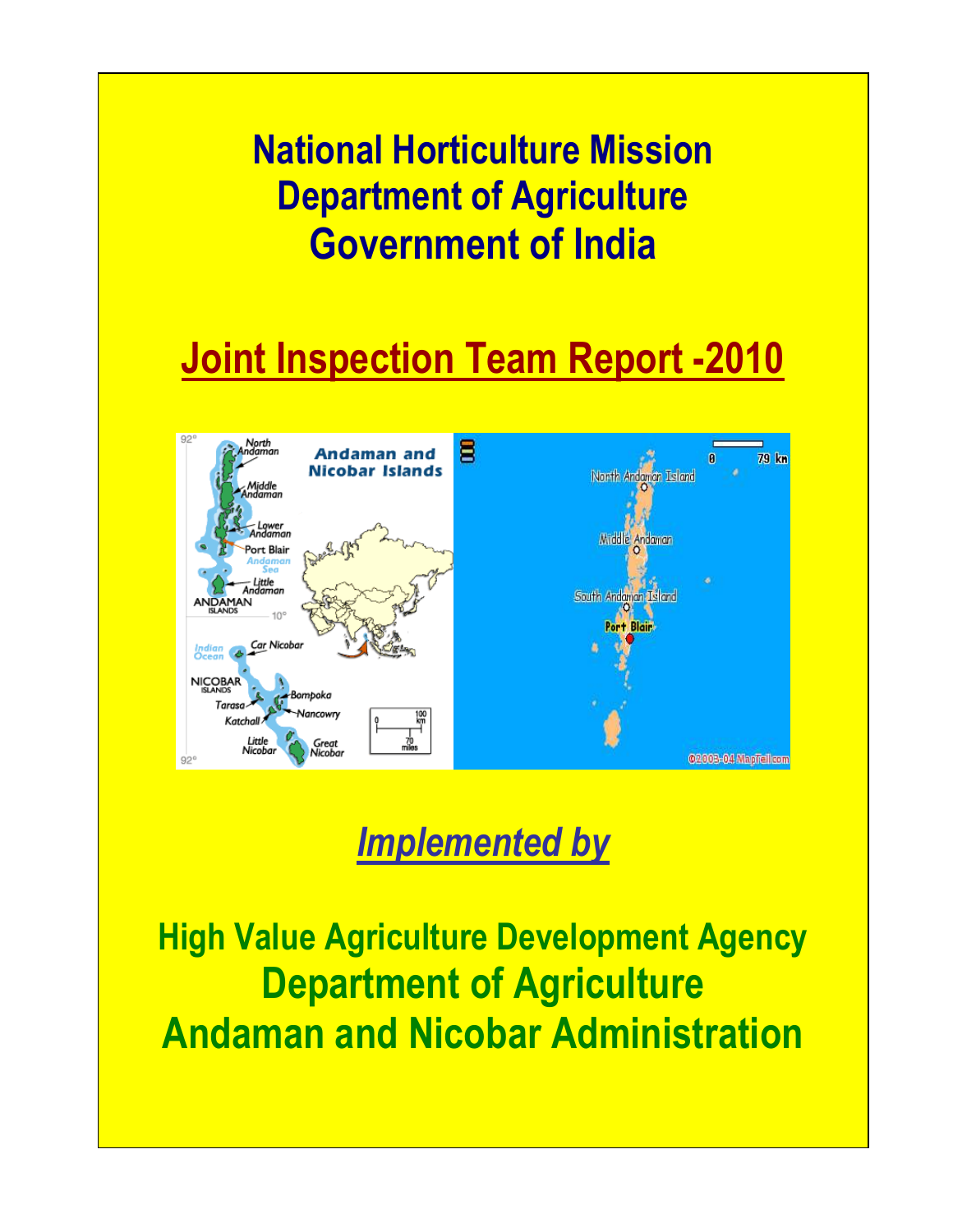# National Horticulture Mission Department of Agriculture Government of India

# Joint Inspection Team Report -2010



# Implemented by

High Value Agriculture Development Agency Department of Agriculture Andaman and Nicobar Administration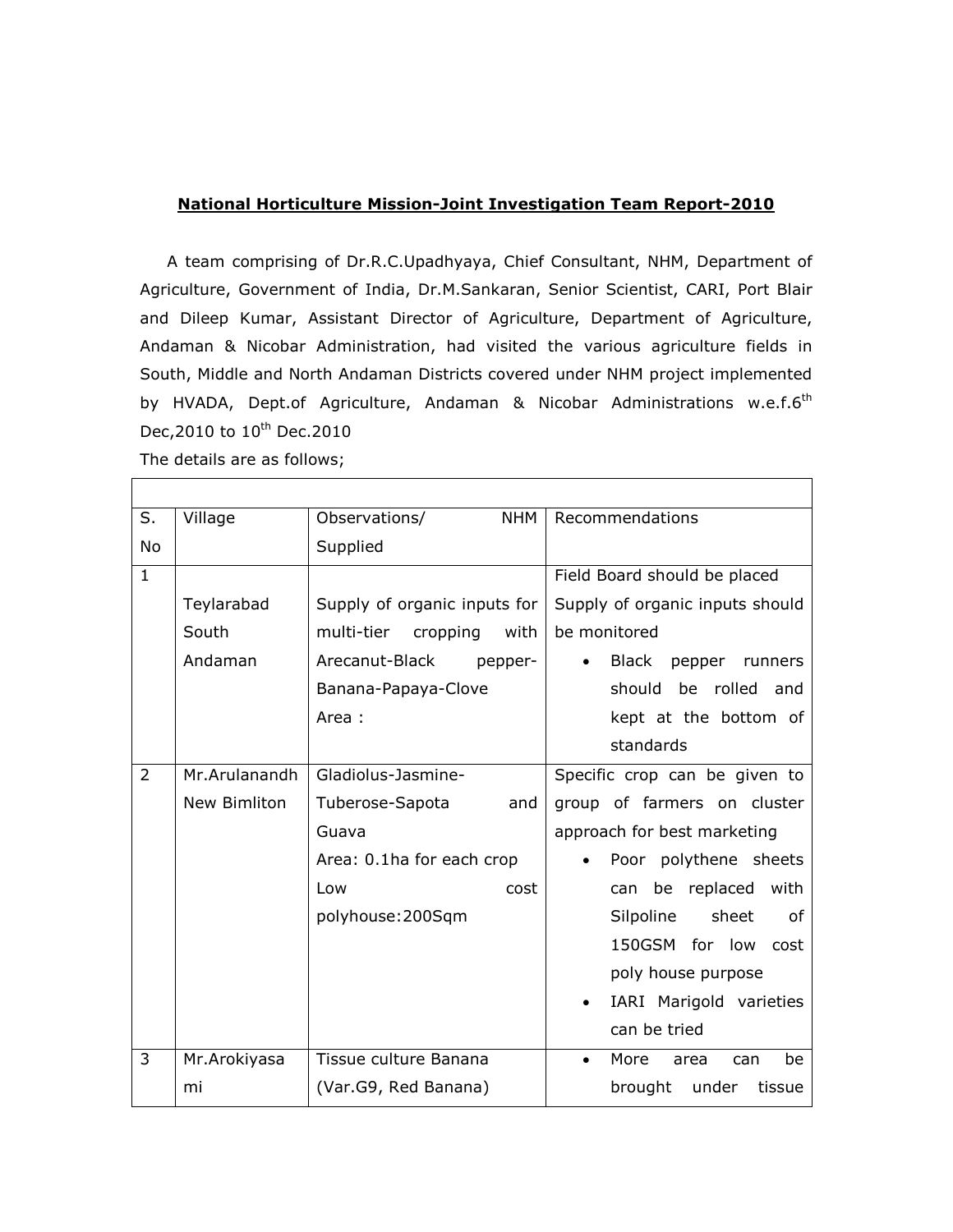# National Horticulture Mission-Joint Investigation Team Report-2010

 A team comprising of Dr.R.C.Upadhyaya, Chief Consultant, NHM, Department of Agriculture, Government of India, Dr.M.Sankaran, Senior Scientist, CARI, Port Blair and Dileep Kumar, Assistant Director of Agriculture, Department of Agriculture, Andaman & Nicobar Administration, had visited the various agriculture fields in South, Middle and North Andaman Districts covered under NHM project implemented by HVADA, Dept.of Agriculture, Andaman & Nicobar Administrations w.e.f.6<sup>th</sup> Dec, 2010 to 10<sup>th</sup> Dec. 2010

| S.             | Village             | Observations/<br><b>NHM</b>  | Recommendations                        |
|----------------|---------------------|------------------------------|----------------------------------------|
| No             |                     | Supplied                     |                                        |
| $\mathbf{1}$   |                     |                              | Field Board should be placed           |
|                | Teylarabad          | Supply of organic inputs for | Supply of organic inputs should        |
|                | South               | multi-tier cropping<br>with  | be monitored                           |
|                | Andaman             | Arecanut-Black<br>pepper-    | Black pepper runners<br>$\bullet$      |
|                |                     | Banana-Papaya-Clove          | should<br>be rolled and                |
|                |                     | Area:                        | kept at the bottom of                  |
|                |                     |                              | standards                              |
| $\overline{2}$ | Mr.Arulanandh       | Gladiolus-Jasmine-           | Specific crop can be given to          |
|                | <b>New Bimliton</b> | Tuberose-Sapota<br>and       | group of farmers on cluster            |
|                |                     | Guava                        | approach for best marketing            |
|                |                     | Area: 0.1ha for each crop    | Poor polythene sheets                  |
|                |                     | Low<br>cost                  | be replaced with<br>can                |
|                |                     | polyhouse:200Sqm             | Silpoline<br>sheet<br>оf               |
|                |                     |                              | 150GSM for low cost                    |
|                |                     |                              | poly house purpose                     |
|                |                     |                              | IARI Marigold varieties                |
|                |                     |                              | can be tried                           |
| 3              | Mr.Arokiyasa        | Tissue culture Banana        | More<br>be<br>area<br>can<br>$\bullet$ |
|                | mi                  | (Var.G9, Red Banana)         | brought<br>under tissue                |

The details are as follows;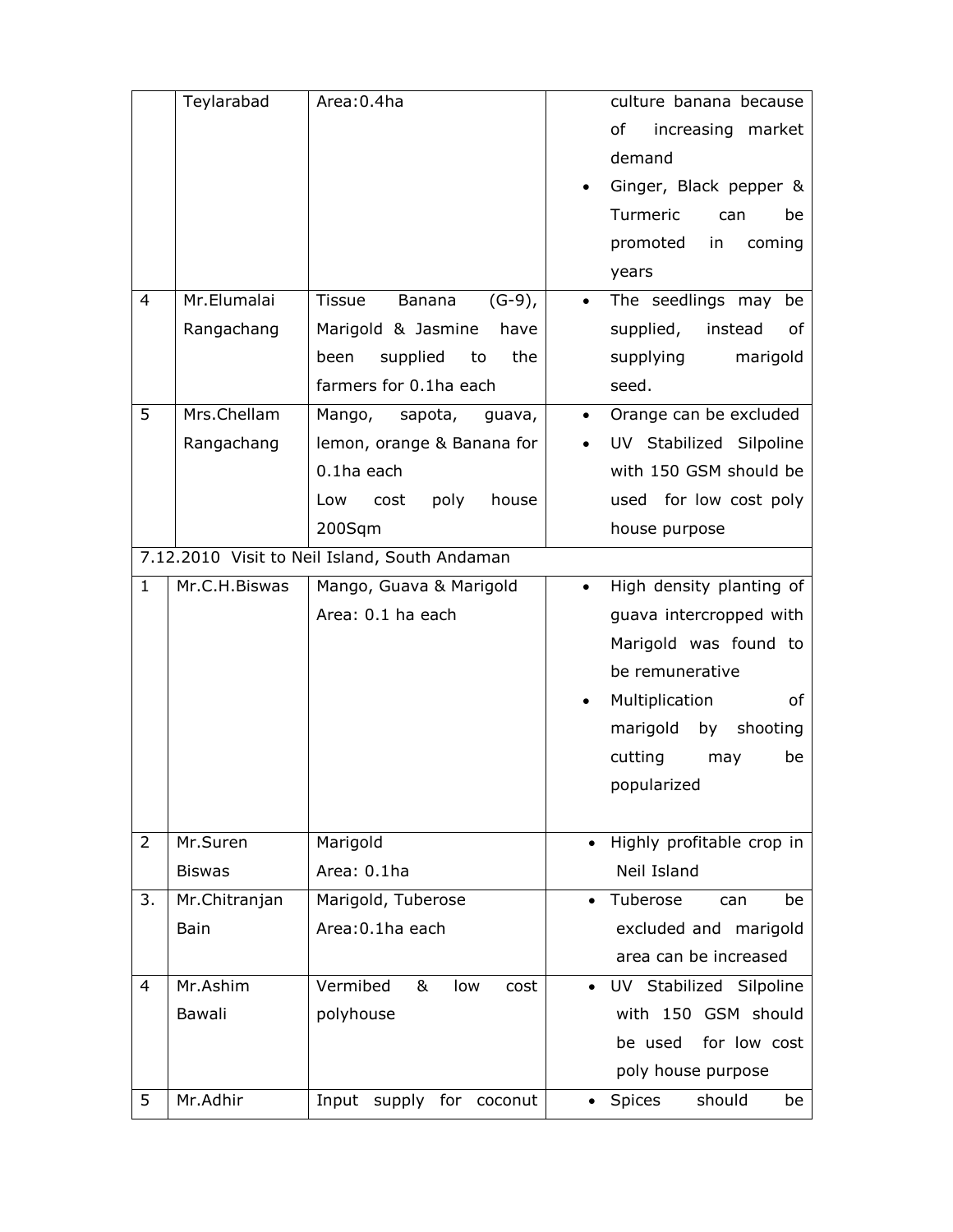|                | Teylarabad    | Area: 0.4ha                                   | culture banana because                     |
|----------------|---------------|-----------------------------------------------|--------------------------------------------|
|                |               |                                               | of<br>increasing market                    |
|                |               |                                               | demand                                     |
|                |               |                                               | Ginger, Black pepper &                     |
|                |               |                                               | Turmeric<br>be<br>can                      |
|                |               |                                               | promoted<br>coming<br>in                   |
|                |               |                                               | years                                      |
| 4              | Mr.Elumalai   | <b>Tissue</b><br>Banana<br>$(G-9)$ ,          | The seedlings may be<br>$\bullet$          |
|                | Rangachang    | Marigold & Jasmine<br>have                    | supplied,<br>instead<br>of                 |
|                |               | supplied<br>been<br>to<br>the                 | supplying<br>marigold                      |
|                |               | farmers for 0.1ha each                        | seed.                                      |
| 5              | Mrs.Chellam   | Mango,<br>sapota, guava,                      | Orange can be excluded<br>$\bullet$        |
|                | Rangachang    | lemon, orange & Banana for                    | UV Stabilized Silpoline                    |
|                |               | 0.1ha each                                    | with 150 GSM should be                     |
|                |               | poly<br>Low<br>cost<br>house                  | used for low cost poly                     |
|                |               | 200Sqm                                        | house purpose                              |
|                |               | 7.12.2010 Visit to Neil Island, South Andaman |                                            |
| $\mathbf{1}$   | Mr.C.H.Biswas | Mango, Guava & Marigold                       | High density planting of<br>$\bullet$      |
|                |               | Area: 0.1 ha each                             | guava intercropped with                    |
|                |               |                                               | Marigold was found to                      |
|                |               |                                               | be remunerative                            |
|                |               |                                               | Multiplication<br>of                       |
|                |               |                                               | marigold<br>by<br>shooting                 |
|                |               |                                               | cutting<br>may<br>be                       |
|                |               |                                               | popularized                                |
|                |               |                                               |                                            |
| $\overline{2}$ | Mr.Suren      | Marigold                                      | Highly profitable crop in                  |
|                | <b>Biswas</b> | Area: 0.1ha                                   | Neil Island                                |
| 3.             | Mr.Chitranjan | Marigold, Tuberose                            | Tuberose<br>can<br>be                      |
|                | Bain          | Area: 0.1ha each                              | excluded and marigold                      |
|                |               |                                               | area can be increased                      |
| $\overline{4}$ | Mr.Ashim      | Vermibed<br>8 <sub>k</sub><br>low<br>cost     | UV Stabilized Silpoline<br>$\bullet$       |
|                | Bawali        | polyhouse                                     | with 150 GSM should                        |
|                |               |                                               | be used<br>for low cost                    |
|                |               |                                               | poly house purpose                         |
| 5              | Mr.Adhir      | Input<br>supply<br>for<br>coconut             | <b>Spices</b><br>should<br>be<br>$\bullet$ |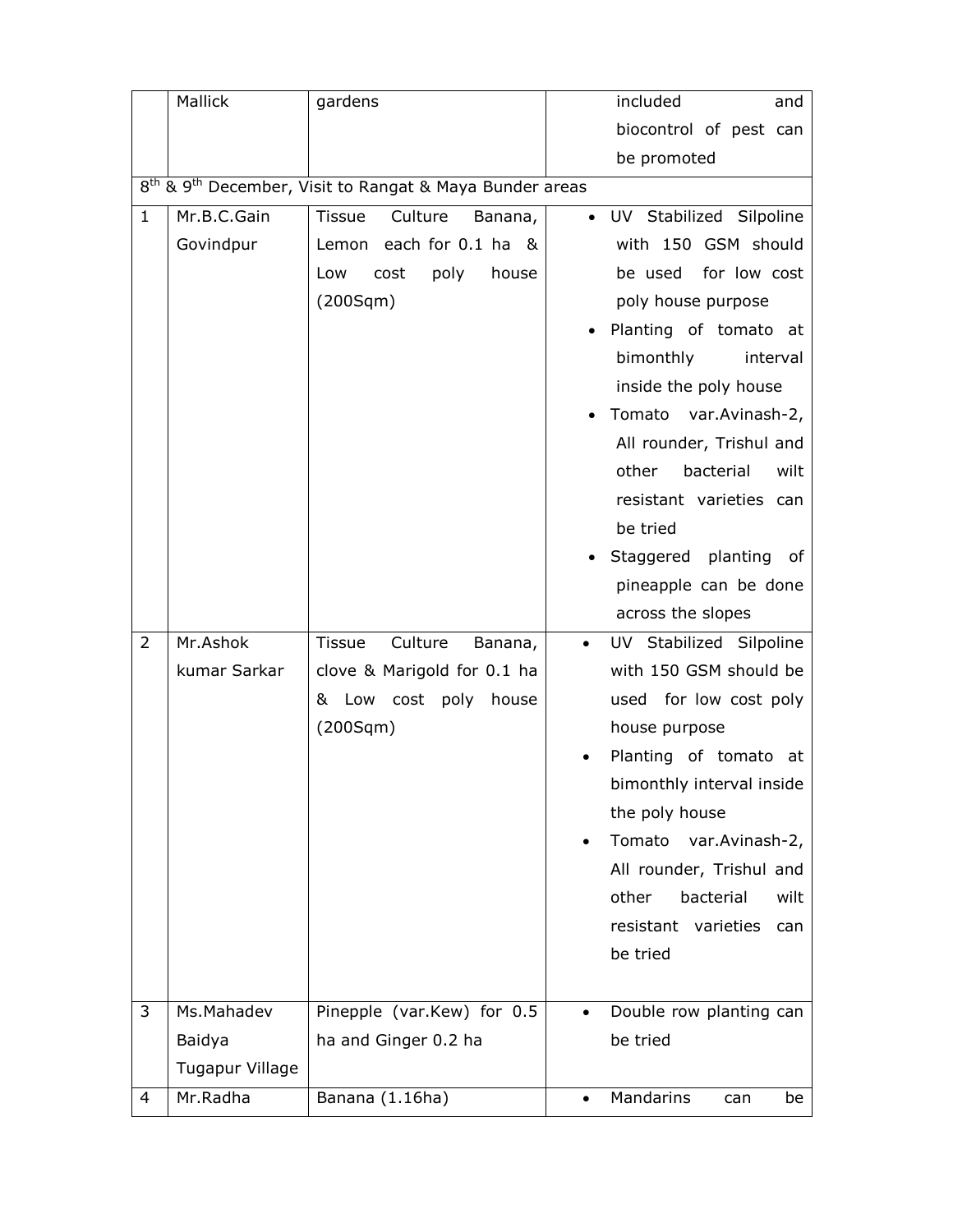|                | Mallick         | gardens                                                                         |           | included<br>and            |
|----------------|-----------------|---------------------------------------------------------------------------------|-----------|----------------------------|
|                |                 |                                                                                 |           | biocontrol of pest can     |
|                |                 |                                                                                 |           | be promoted                |
|                |                 | 8 <sup>th</sup> & 9 <sup>th</sup> December, Visit to Rangat & Maya Bunder areas |           |                            |
| $\mathbf{1}$   | Mr.B.C.Gain     | <b>Tissue</b><br>Culture<br>Banana,                                             |           | UV Stabilized Silpoline    |
|                | Govindpur       | Lemon each for 0.1 ha &                                                         |           | with 150 GSM should        |
|                |                 | poly<br>Low<br>cost<br>house                                                    |           | be used for low cost       |
|                |                 | (200Sqm)                                                                        |           | poly house purpose         |
|                |                 |                                                                                 |           | Planting of tomato at      |
|                |                 |                                                                                 |           | bimonthly<br>interval      |
|                |                 |                                                                                 |           | inside the poly house      |
|                |                 |                                                                                 |           | Tomato var.Avinash-2,      |
|                |                 |                                                                                 |           | All rounder, Trishul and   |
|                |                 |                                                                                 |           | other<br>bacterial<br>wilt |
|                |                 |                                                                                 |           | resistant varieties can    |
|                |                 |                                                                                 |           | be tried                   |
|                |                 |                                                                                 |           | Staggered planting of      |
|                |                 |                                                                                 |           | pineapple can be done      |
|                |                 |                                                                                 |           | across the slopes          |
| $\overline{2}$ | Mr.Ashok        | Tissue<br>Culture<br>Banana,                                                    | $\bullet$ | UV Stabilized Silpoline    |
|                | kumar Sarkar    | clove & Marigold for 0.1 ha                                                     |           | with 150 GSM should be     |
|                |                 | & Low cost poly<br>house                                                        |           | used for low cost poly     |
|                |                 | (200Sqm)                                                                        |           | house purpose              |
|                |                 |                                                                                 |           | Planting of tomato at      |
|                |                 |                                                                                 |           | bimonthly interval inside  |
|                |                 |                                                                                 |           | the poly house             |
|                |                 |                                                                                 |           | Tomato var.Avinash-2,      |
|                |                 |                                                                                 |           | All rounder, Trishul and   |
|                |                 |                                                                                 |           | other<br>bacterial<br>wilt |
|                |                 |                                                                                 |           | resistant varieties<br>can |
|                |                 |                                                                                 |           | be tried                   |
|                |                 |                                                                                 |           |                            |
| 3              | Ms.Mahadev      | Pinepple (var.Kew) for 0.5                                                      | $\bullet$ | Double row planting can    |
|                | Baidya          | ha and Ginger 0.2 ha                                                            |           | be tried                   |
|                | Tugapur Village |                                                                                 |           |                            |
| 4              | Mr.Radha        | Banana (1.16ha)                                                                 | $\bullet$ | Mandarins<br>be<br>can     |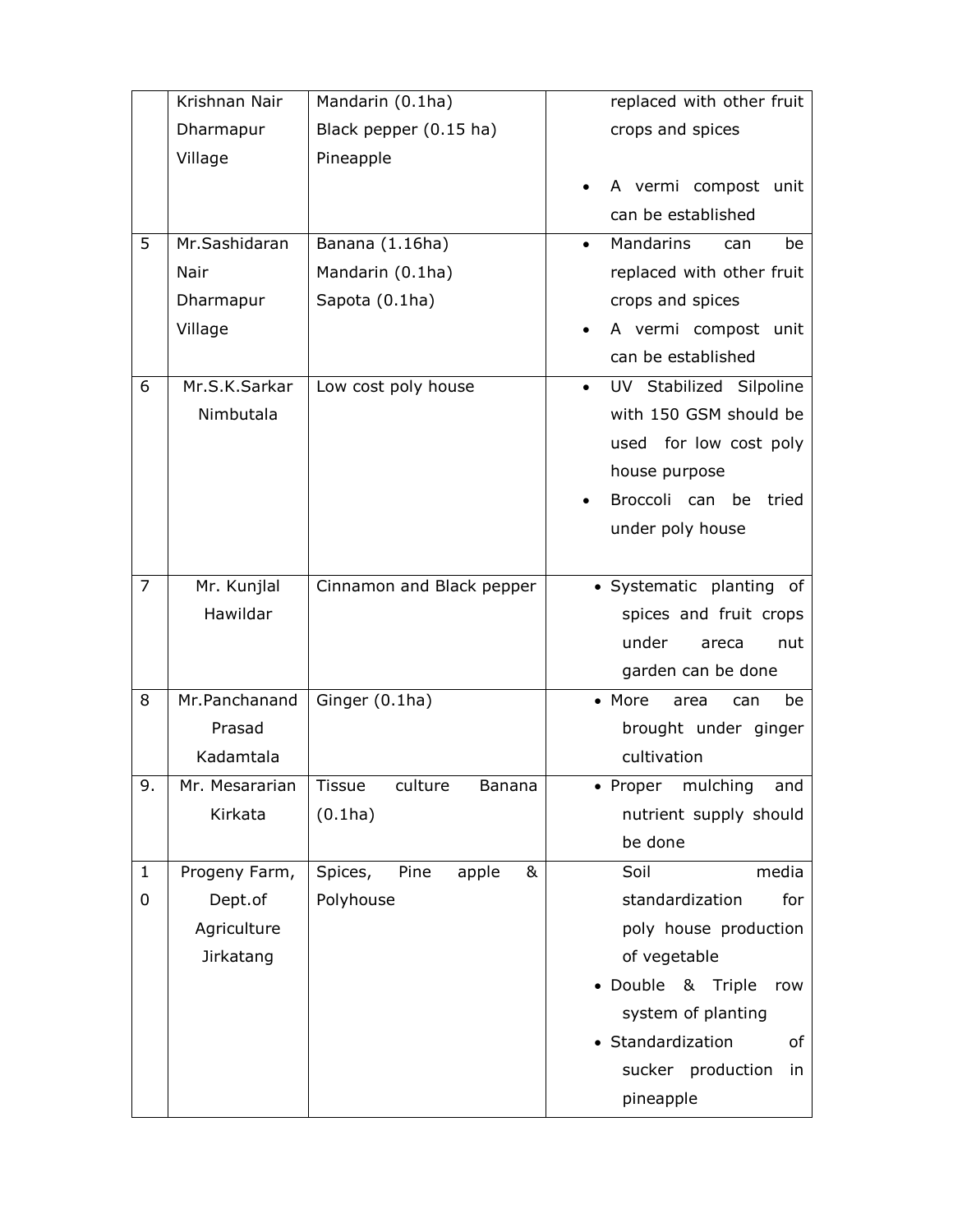|                | Krishnan Nair  | Mandarin (0.1ha)              | replaced with other fruit            |
|----------------|----------------|-------------------------------|--------------------------------------|
|                | Dharmapur      | Black pepper (0.15 ha)        | crops and spices                     |
|                | Village        | Pineapple                     |                                      |
|                |                |                               | A vermi compost unit                 |
|                |                |                               | can be established                   |
| 5              | Mr.Sashidaran  | Banana (1.16ha)               | Mandarins<br>be<br>can<br>$\bullet$  |
|                | Nair           | Mandarin (0.1ha)              | replaced with other fruit            |
|                | Dharmapur      | Sapota (0.1ha)                | crops and spices                     |
|                | Village        |                               | A vermi compost unit                 |
|                |                |                               | can be established                   |
| 6              | Mr.S.K.Sarkar  | Low cost poly house           | UV Stabilized Silpoline<br>$\bullet$ |
|                | Nimbutala      |                               | with 150 GSM should be               |
|                |                |                               | used for low cost poly               |
|                |                |                               | house purpose                        |
|                |                |                               | Broccoli can be tried                |
|                |                |                               | under poly house                     |
|                |                |                               |                                      |
| $\overline{7}$ | Mr. Kunjlal    | Cinnamon and Black pepper     | · Systematic planting of             |
|                | Hawildar       |                               | spices and fruit crops               |
|                |                |                               | under<br>areca<br>nut                |
|                |                |                               | garden can be done                   |
| 8              | Mr.Panchanand  | Ginger (0.1ha)                | • More<br>area<br>be<br>can          |
|                | Prasad         |                               | brought under ginger                 |
|                | Kadamtala      |                               | cultivation                          |
| 9.             | Mr. Mesararian | culture<br>  Tissue<br>Banana | Proper mulching<br>and               |
|                | Kirkata        | (0.1ha)                       | nutrient supply should               |
|                |                |                               | be done                              |
| $\mathbf{1}$   | Progeny Farm,  | Spices,<br>Pine<br>apple<br>& | Soil<br>media                        |
| 0              | Dept.of        | Polyhouse                     | standardization<br>for               |
|                | Agriculture    |                               | poly house production                |
|                | Jirkatang      |                               | of vegetable                         |
|                |                |                               | · Double & Triple<br>row             |
|                |                |                               | system of planting                   |
|                |                |                               | • Standardization<br>of              |
|                |                |                               | sucker production<br>in              |
|                |                |                               | pineapple                            |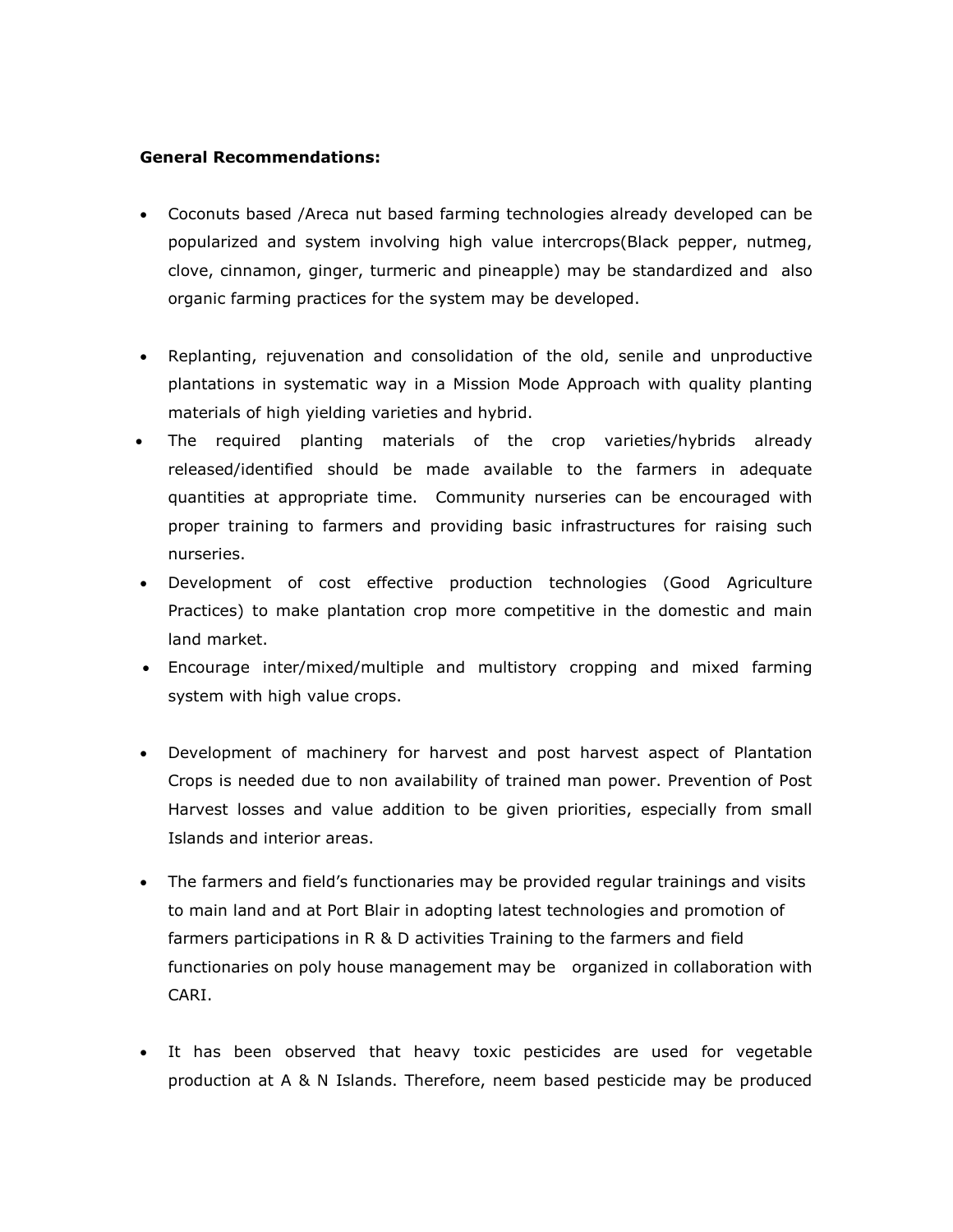# General Recommendations:

- Coconuts based /Areca nut based farming technologies already developed can be popularized and system involving high value intercrops(Black pepper, nutmeg, clove, cinnamon, ginger, turmeric and pineapple) may be standardized and also organic farming practices for the system may be developed.
- Replanting, rejuvenation and consolidation of the old, senile and unproductive plantations in systematic way in a Mission Mode Approach with quality planting materials of high yielding varieties and hybrid.
- The required planting materials of the crop varieties/hybrids already released/identified should be made available to the farmers in adequate quantities at appropriate time. Community nurseries can be encouraged with proper training to farmers and providing basic infrastructures for raising such nurseries.
- Development of cost effective production technologies (Good Agriculture Practices) to make plantation crop more competitive in the domestic and main land market.
- Encourage inter/mixed/multiple and multistory cropping and mixed farming system with high value crops.
- Development of machinery for harvest and post harvest aspect of Plantation Crops is needed due to non availability of trained man power. Prevention of Post Harvest losses and value addition to be given priorities, especially from small Islands and interior areas.
- The farmers and field's functionaries may be provided regular trainings and visits to main land and at Port Blair in adopting latest technologies and promotion of farmers participations in R & D activities Training to the farmers and field functionaries on poly house management may be organized in collaboration with CARI.
- It has been observed that heavy toxic pesticides are used for vegetable production at A & N Islands. Therefore, neem based pesticide may be produced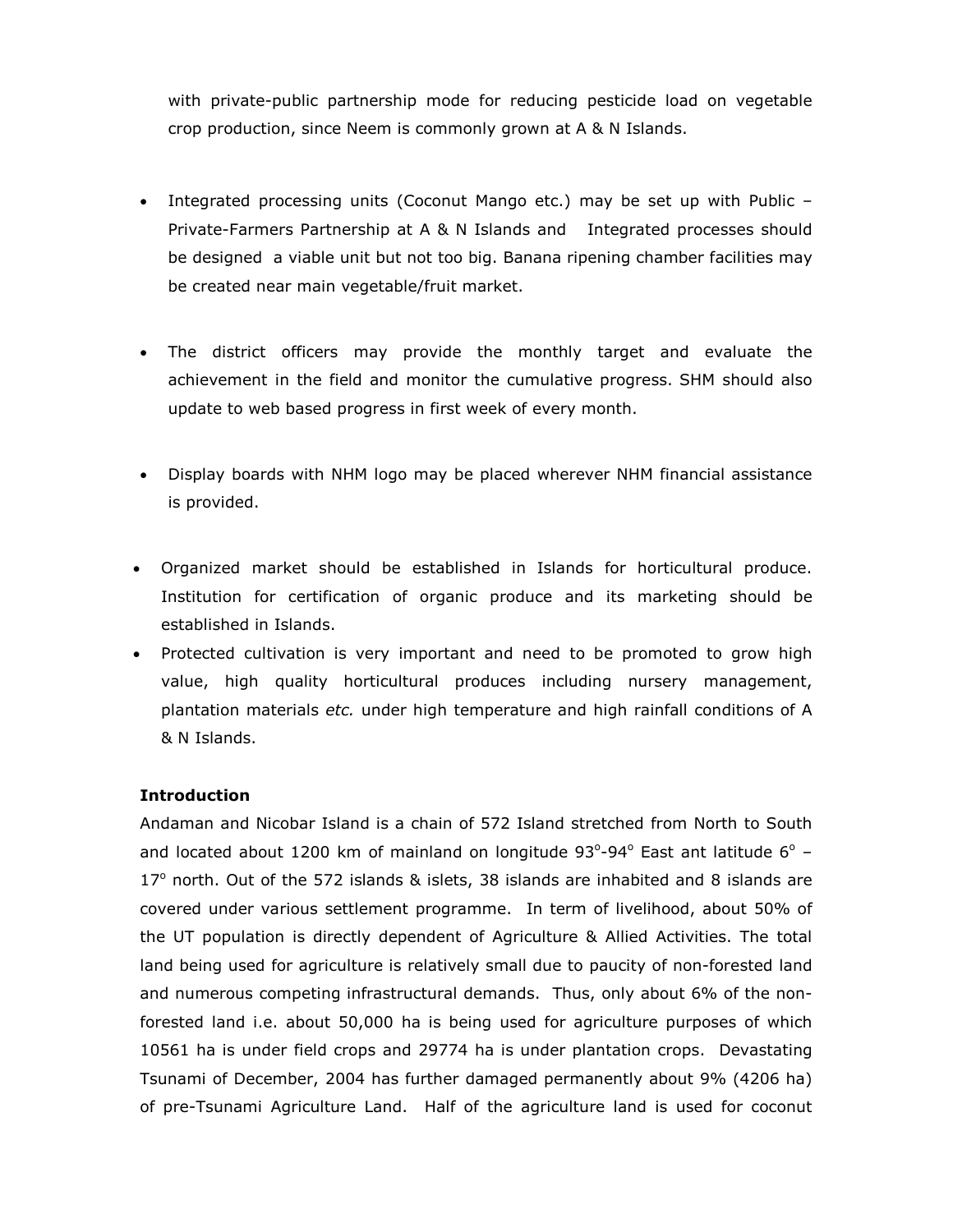with private-public partnership mode for reducing pesticide load on vegetable crop production, since Neem is commonly grown at A & N Islands.

- Integrated processing units (Coconut Mango etc.) may be set up with Public Private-Farmers Partnership at A & N Islands and Integrated processes should be designed a viable unit but not too big. Banana ripening chamber facilities may be created near main vegetable/fruit market.
- The district officers may provide the monthly target and evaluate the achievement in the field and monitor the cumulative progress. SHM should also update to web based progress in first week of every month.
- Display boards with NHM logo may be placed wherever NHM financial assistance is provided.
- Organized market should be established in Islands for horticultural produce. Institution for certification of organic produce and its marketing should be established in Islands.
- Protected cultivation is very important and need to be promoted to grow high value, high quality horticultural produces including nursery management, plantation materials etc. under high temperature and high rainfall conditions of A & N Islands.

# **Introduction**

Andaman and Nicobar Island is a chain of 572 Island stretched from North to South and located about 1200 km of mainland on longitude  $93^{\circ}$ -94 $^{\circ}$  East ant latitude  $6^{\circ}$  -17° north. Out of the 572 islands & islets, 38 islands are inhabited and 8 islands are covered under various settlement programme. In term of livelihood, about 50% of the UT population is directly dependent of Agriculture & Allied Activities. The total land being used for agriculture is relatively small due to paucity of non-forested land and numerous competing infrastructural demands. Thus, only about 6% of the nonforested land i.e. about 50,000 ha is being used for agriculture purposes of which 10561 ha is under field crops and 29774 ha is under plantation crops. Devastating Tsunami of December, 2004 has further damaged permanently about 9% (4206 ha) of pre-Tsunami Agriculture Land. Half of the agriculture land is used for coconut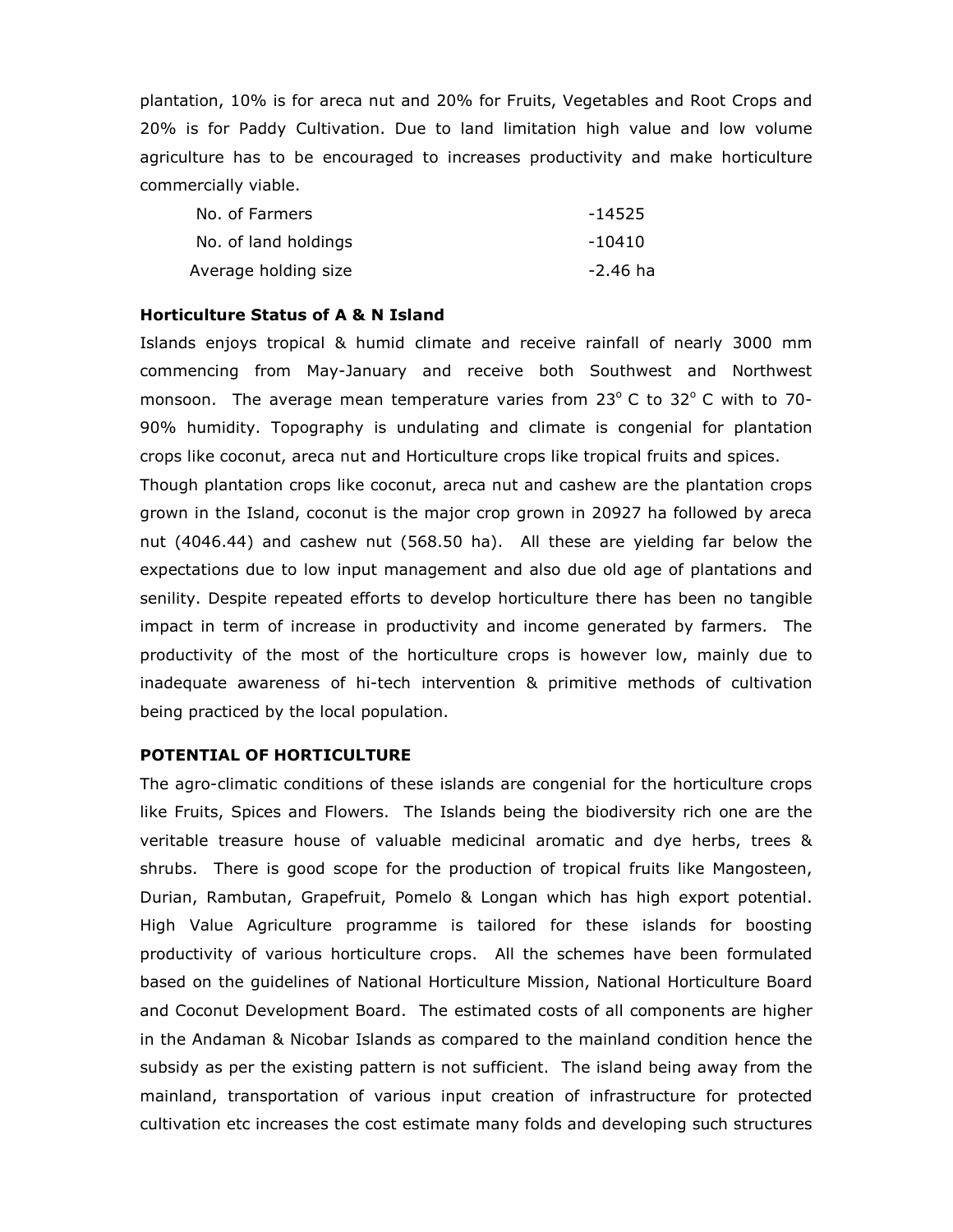plantation, 10% is for areca nut and 20% for Fruits, Vegetables and Root Crops and 20% is for Paddy Cultivation. Due to land limitation high value and low volume agriculture has to be encouraged to increases productivity and make horticulture commercially viable.

| No. of Farmers       | $-14525$ |
|----------------------|----------|
| No. of land holdings | -10410   |
| Average holding size | -2.46 ha |

#### Horticulture Status of A & N Island

Islands enjoys tropical & humid climate and receive rainfall of nearly 3000 mm commencing from May-January and receive both Southwest and Northwest monsoon. The average mean temperature varies from  $23^{\circ}$  C to  $32^{\circ}$  C with to 70-90% humidity. Topography is undulating and climate is congenial for plantation crops like coconut, areca nut and Horticulture crops like tropical fruits and spices.

Though plantation crops like coconut, areca nut and cashew are the plantation crops grown in the Island, coconut is the major crop grown in 20927 ha followed by areca nut (4046.44) and cashew nut (568.50 ha). All these are yielding far below the expectations due to low input management and also due old age of plantations and senility. Despite repeated efforts to develop horticulture there has been no tangible impact in term of increase in productivity and income generated by farmers. The productivity of the most of the horticulture crops is however low, mainly due to inadequate awareness of hi-tech intervention & primitive methods of cultivation being practiced by the local population.

# POTENTIAL OF HORTICULTURE

The agro-climatic conditions of these islands are congenial for the horticulture crops like Fruits, Spices and Flowers. The Islands being the biodiversity rich one are the veritable treasure house of valuable medicinal aromatic and dye herbs, trees & shrubs. There is good scope for the production of tropical fruits like Mangosteen, Durian, Rambutan, Grapefruit, Pomelo & Longan which has high export potential. High Value Agriculture programme is tailored for these islands for boosting productivity of various horticulture crops. All the schemes have been formulated based on the guidelines of National Horticulture Mission, National Horticulture Board and Coconut Development Board. The estimated costs of all components are higher in the Andaman & Nicobar Islands as compared to the mainland condition hence the subsidy as per the existing pattern is not sufficient. The island being away from the mainland, transportation of various input creation of infrastructure for protected cultivation etc increases the cost estimate many folds and developing such structures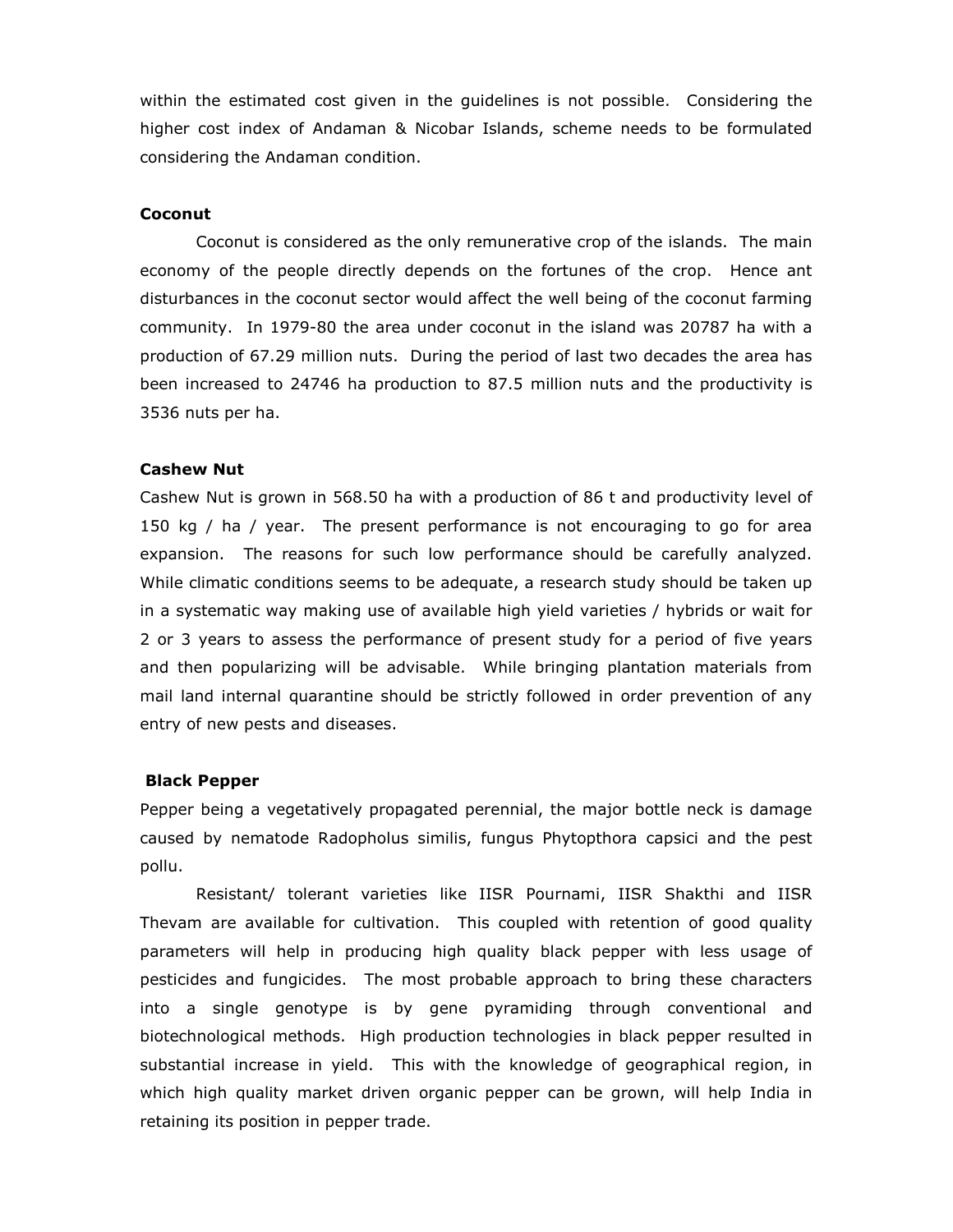within the estimated cost given in the guidelines is not possible. Considering the higher cost index of Andaman & Nicobar Islands, scheme needs to be formulated considering the Andaman condition.

#### Coconut

 Coconut is considered as the only remunerative crop of the islands. The main economy of the people directly depends on the fortunes of the crop. Hence ant disturbances in the coconut sector would affect the well being of the coconut farming community. In 1979-80 the area under coconut in the island was 20787 ha with a production of 67.29 million nuts. During the period of last two decades the area has been increased to 24746 ha production to 87.5 million nuts and the productivity is 3536 nuts per ha.

#### Cashew Nut

Cashew Nut is grown in 568.50 ha with a production of 86 t and productivity level of 150 kg / ha / year. The present performance is not encouraging to go for area expansion. The reasons for such low performance should be carefully analyzed. While climatic conditions seems to be adequate, a research study should be taken up in a systematic way making use of available high yield varieties / hybrids or wait for 2 or 3 years to assess the performance of present study for a period of five years and then popularizing will be advisable. While bringing plantation materials from mail land internal quarantine should be strictly followed in order prevention of any entry of new pests and diseases.

#### Black Pepper

Pepper being a vegetatively propagated perennial, the major bottle neck is damage caused by nematode Radopholus similis, fungus Phytopthora capsici and the pest pollu.

Resistant/ tolerant varieties like IISR Pournami, IISR Shakthi and IISR Thevam are available for cultivation. This coupled with retention of good quality parameters will help in producing high quality black pepper with less usage of pesticides and fungicides. The most probable approach to bring these characters into a single genotype is by gene pyramiding through conventional and biotechnological methods. High production technologies in black pepper resulted in substantial increase in yield. This with the knowledge of geographical region, in which high quality market driven organic pepper can be grown, will help India in retaining its position in pepper trade.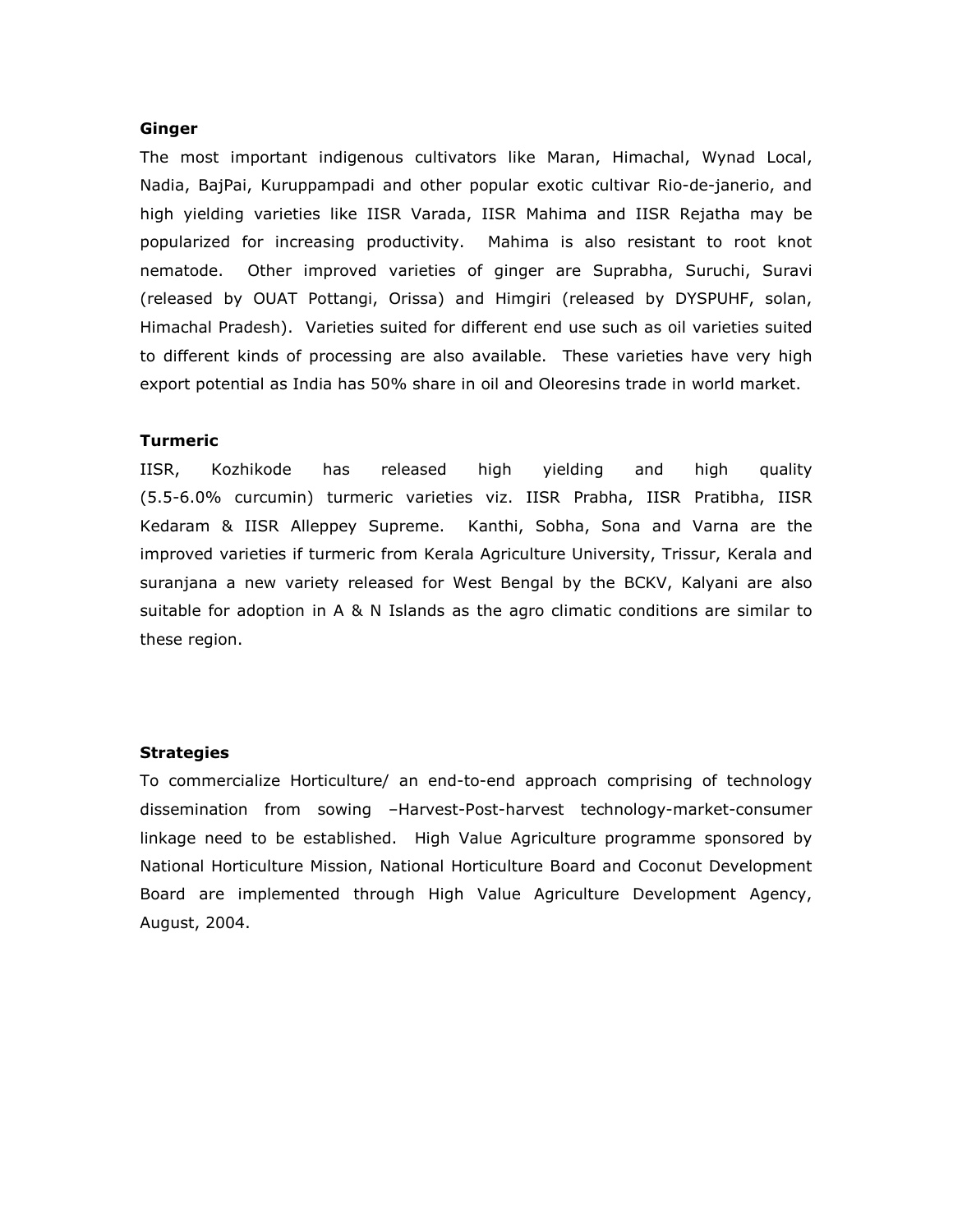#### Ginger

The most important indigenous cultivators like Maran, Himachal, Wynad Local, Nadia, BajPai, Kuruppampadi and other popular exotic cultivar Rio-de-janerio, and high yielding varieties like IISR Varada, IISR Mahima and IISR Rejatha may be popularized for increasing productivity. Mahima is also resistant to root knot nematode. Other improved varieties of ginger are Suprabha, Suruchi, Suravi (released by OUAT Pottangi, Orissa) and Himgiri (released by DYSPUHF, solan, Himachal Pradesh). Varieties suited for different end use such as oil varieties suited to different kinds of processing are also available. These varieties have very high export potential as India has 50% share in oil and Oleoresins trade in world market.

#### Turmeric

IISR, Kozhikode has released high yielding and high quality (5.5-6.0% curcumin) turmeric varieties viz. IISR Prabha, IISR Pratibha, IISR Kedaram & IISR Alleppey Supreme. Kanthi, Sobha, Sona and Varna are the improved varieties if turmeric from Kerala Agriculture University, Trissur, Kerala and suranjana a new variety released for West Bengal by the BCKV, Kalyani are also suitable for adoption in A & N Islands as the agro climatic conditions are similar to these region.

## **Strategies**

To commercialize Horticulture/ an end-to-end approach comprising of technology dissemination from sowing –Harvest-Post-harvest technology-market-consumer linkage need to be established. High Value Agriculture programme sponsored by National Horticulture Mission, National Horticulture Board and Coconut Development Board are implemented through High Value Agriculture Development Agency, August, 2004.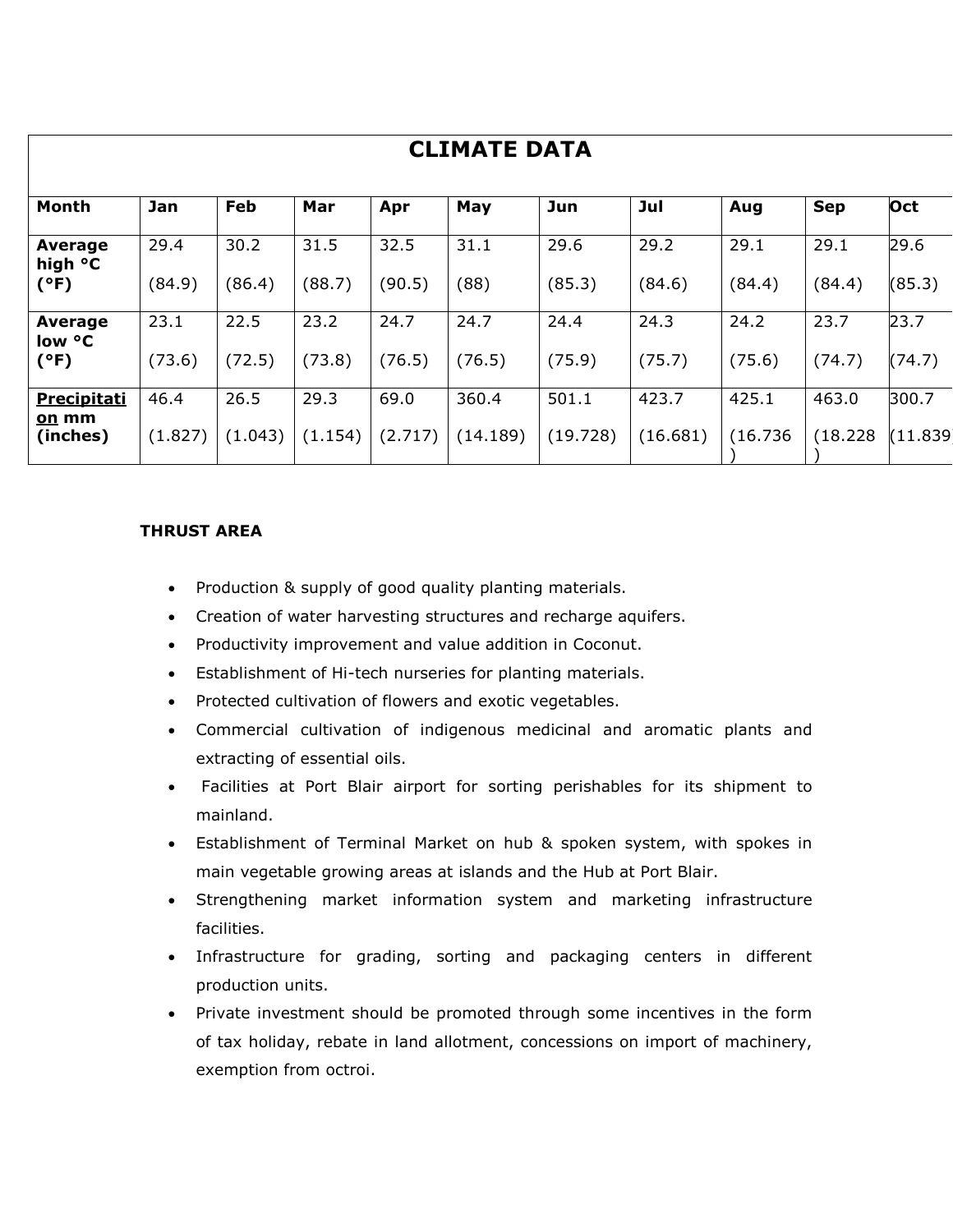|                      | <b>CLIMATE DATA</b> |         |         |         |          |          |          |          |            |          |
|----------------------|---------------------|---------|---------|---------|----------|----------|----------|----------|------------|----------|
| Month                | Jan                 | Feb     | Mar     | Apr     | May      | Jun      | Jul      | Aug      | <b>Sep</b> | Oct      |
| Average<br>high °C   | 29.4                | 30.2    | 31.5    | 32.5    | 31.1     | 29.6     | 29.2     | 29.1     | 29.1       | 29.6     |
| (°F)                 | (84.9)              | (86.4)  | (88.7)  | (90.5)  | (88)     | (85.3)   | (84.6)   | (84.4)   | (84.4)     | (85.3)   |
| Average<br>low °C    | 23.1                | 22.5    | 23.2    | 24.7    | 24.7     | 24.4     | 24.3     | 24.2     | 23.7       | 23.7     |
| (°F)                 | (73.6)              | (72.5)  | (73.8)  | (76.5)  | (76.5)   | (75.9)   | (75.7)   | (75.6)   | (74.7)     | (74.7)   |
| Precipitati<br>on mm | 46.4                | 26.5    | 29.3    | 69.0    | 360.4    | 501.1    | 423.7    | 425.1    | 463.0      | 300.7    |
| (inches)             | (1.827)             | (1.043) | (1.154) | (2.717) | (14.189) | (19.728) | (16.681) | (16.736) | (18.228)   | (11.839) |

# THRUST AREA

- Production & supply of good quality planting materials.
- Creation of water harvesting structures and recharge aquifers.
- Productivity improvement and value addition in Coconut.
- Establishment of Hi-tech nurseries for planting materials.
- Protected cultivation of flowers and exotic vegetables.
- Commercial cultivation of indigenous medicinal and aromatic plants and extracting of essential oils.
- Facilities at Port Blair airport for sorting perishables for its shipment to mainland.
- Establishment of Terminal Market on hub & spoken system, with spokes in main vegetable growing areas at islands and the Hub at Port Blair.
- Strengthening market information system and marketing infrastructure facilities.
- Infrastructure for grading, sorting and packaging centers in different production units.
- Private investment should be promoted through some incentives in the form of tax holiday, rebate in land allotment, concessions on import of machinery, exemption from octroi.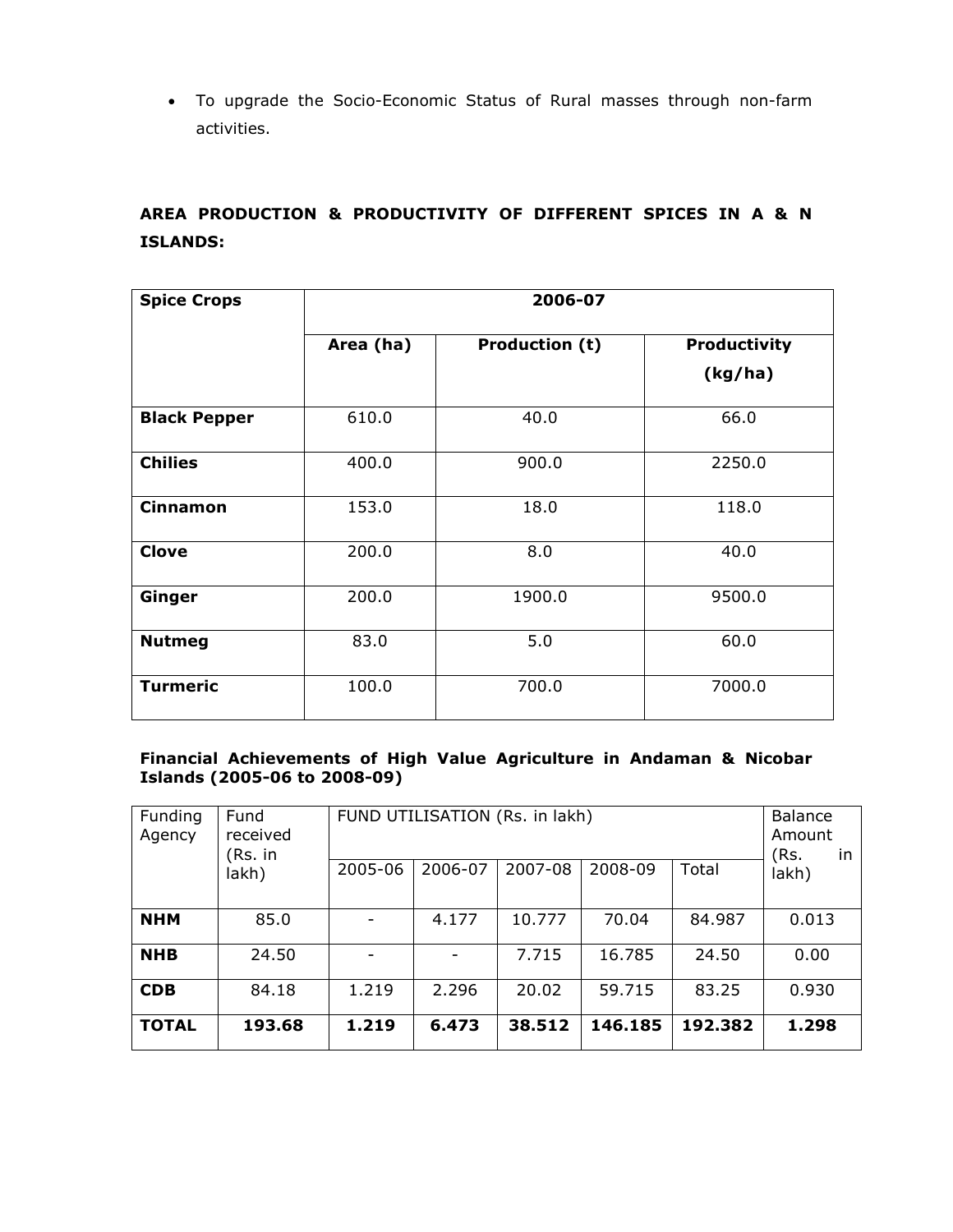• To upgrade the Socio-Economic Status of Rural masses through non-farm activities.

# AREA PRODUCTION & PRODUCTIVITY OF DIFFERENT SPICES IN A & N ISLANDS:

| <b>Spice Crops</b>  | 2006-07   |                |                                |  |  |  |  |  |
|---------------------|-----------|----------------|--------------------------------|--|--|--|--|--|
|                     | Area (ha) | Production (t) | <b>Productivity</b><br>(kg/ha) |  |  |  |  |  |
| <b>Black Pepper</b> | 610.0     | 40.0           | 66.0                           |  |  |  |  |  |
| <b>Chilies</b>      | 400.0     | 900.0          | 2250.0                         |  |  |  |  |  |
| <b>Cinnamon</b>     | 153.0     | 18.0           | 118.0                          |  |  |  |  |  |
| <b>Clove</b>        | 200.0     | 8.0            | 40.0                           |  |  |  |  |  |
| Ginger              | 200.0     | 1900.0         | 9500.0                         |  |  |  |  |  |
| <b>Nutmeg</b>       | 83.0      | 5.0            | 60.0                           |  |  |  |  |  |
| <b>Turmeric</b>     | 100.0     | 700.0          | 7000.0                         |  |  |  |  |  |

# Financial Achievements of High Value Agriculture in Andaman & Nicobar Islands (2005-06 to 2008-09)

| Funding<br>Agency | Fund<br>received<br>(Rs. in | FUND UTILISATION (Rs. in lakh) | <b>Balance</b><br>Amount<br>(Rs.<br>in |         |         |         |       |
|-------------------|-----------------------------|--------------------------------|----------------------------------------|---------|---------|---------|-------|
|                   | lakh)                       | 2005-06                        | 2006-07                                | 2007-08 | 2008-09 | Total   | lakh) |
| <b>NHM</b>        | 85.0                        |                                | 4.177                                  | 10.777  | 70.04   | 84.987  | 0.013 |
| <b>NHB</b>        | 24.50                       |                                |                                        | 7.715   | 16.785  | 24.50   | 0.00  |
| <b>CDB</b>        | 84.18                       | 1.219                          | 2.296                                  | 20.02   | 59.715  | 83.25   | 0.930 |
| <b>TOTAL</b>      | 193.68                      | 1.219                          | 6.473                                  | 38.512  | 146.185 | 192.382 | 1.298 |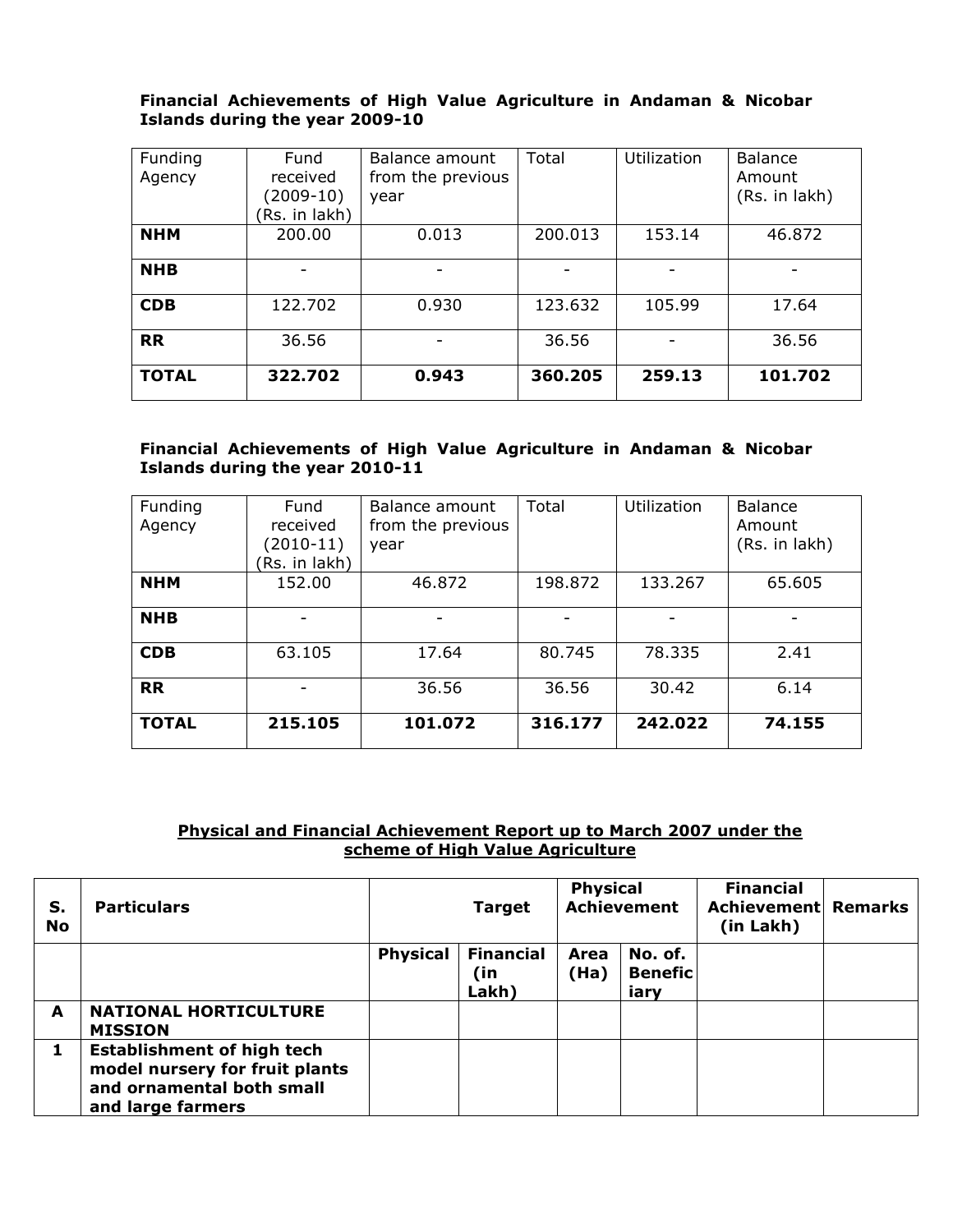# Financial Achievements of High Value Agriculture in Andaman & Nicobar Islands during the year 2009-10

| Funding<br>Agency | Fund<br>received<br>$(2009-10)$<br>(Rs. in lakh) | Balance amount<br>from the previous<br>year | Total   | Utilization | Balance<br>Amount<br>(Rs. in lakh) |
|-------------------|--------------------------------------------------|---------------------------------------------|---------|-------------|------------------------------------|
| <b>NHM</b>        | 200.00                                           | 0.013                                       | 200.013 | 153.14      | 46.872                             |
| <b>NHB</b>        |                                                  |                                             |         |             |                                    |
| <b>CDB</b>        | 122.702                                          | 0.930                                       | 123.632 | 105.99      | 17.64                              |
| <b>RR</b>         | 36.56                                            |                                             | 36.56   |             | 36.56                              |
| <b>TOTAL</b>      | 322.702                                          | 0.943                                       | 360.205 | 259.13      | 101.702                            |

# Financial Achievements of High Value Agriculture in Andaman & Nicobar Islands during the year 2010-11

| Funding<br>Agency | Fund<br>received<br>$(2010-11)$<br>(Rs. in lakh) | Balance amount<br>from the previous<br>year | Total   | <b>Utilization</b> | <b>Balance</b><br>Amount<br>(Rs. in lakh) |
|-------------------|--------------------------------------------------|---------------------------------------------|---------|--------------------|-------------------------------------------|
| <b>NHM</b>        | 152.00                                           | 46.872                                      | 198.872 | 133.267            | 65.605                                    |
| <b>NHB</b>        |                                                  |                                             |         |                    |                                           |
| <b>CDB</b>        | 63.105                                           | 17.64                                       | 80.745  | 78.335             | 2.41                                      |
| <b>RR</b>         |                                                  | 36.56                                       | 36.56   | 30.42              | 6.14                                      |
| <b>TOTAL</b>      | 215.105                                          | 101.072                                     | 316.177 | 242.022            | 74.155                                    |

# Physical and Financial Achievement Report up to March 2007 under the scheme of High Value Agriculture

| S.<br><b>No</b> | <b>Particulars</b>                                                                                                    |                 | <b>Target</b>                    | <b>Physical</b><br><b>Achievement</b> |                                   | <b>Financial</b><br><b>Achievement Remarks</b><br>(in Lakh) |  |
|-----------------|-----------------------------------------------------------------------------------------------------------------------|-----------------|----------------------------------|---------------------------------------|-----------------------------------|-------------------------------------------------------------|--|
|                 |                                                                                                                       | <b>Physical</b> | <b>Financial</b><br>(in<br>Lakh) | Area<br>(Ha)                          | No. of.<br><b>Benefic</b><br>iarv |                                                             |  |
| A               | <b>NATIONAL HORTICULTURE</b><br><b>MISSION</b>                                                                        |                 |                                  |                                       |                                   |                                                             |  |
| 1               | <b>Establishment of high tech</b><br>model nursery for fruit plants<br>and ornamental both small<br>and large farmers |                 |                                  |                                       |                                   |                                                             |  |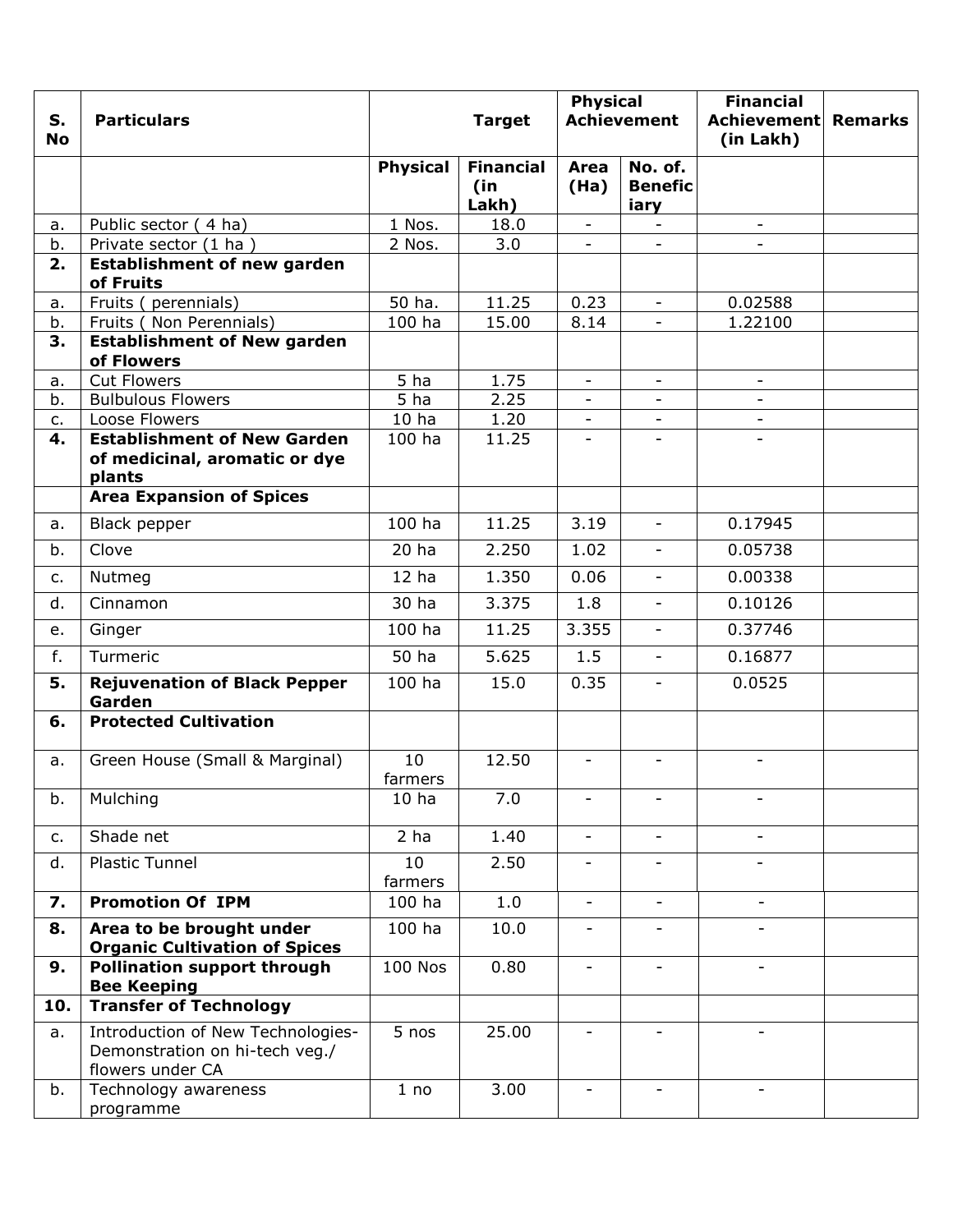| S.<br><b>No</b> | <b>Particulars</b>                                                                      | <b>Target</b>       |                                  | <b>Physical</b><br><b>Achievement</b> |                                   | <b>Financial</b><br>Achievement<br>(in Lakh) | <b>Remarks</b> |
|-----------------|-----------------------------------------------------------------------------------------|---------------------|----------------------------------|---------------------------------------|-----------------------------------|----------------------------------------------|----------------|
|                 |                                                                                         | <b>Physical</b>     | <b>Financial</b><br>(in<br>Lakh) | Area<br>(Ha)                          | No. of.<br><b>Benefic</b><br>iary |                                              |                |
| a.              | Public sector (4 ha)                                                                    | 1 Nos.              | 18.0                             | $\blacksquare$                        |                                   | -                                            |                |
| b.              | Private sector (1 ha)                                                                   | 2 Nos.              | 3.0                              | $\overline{\phantom{a}}$              | $\overline{\phantom{a}}$          |                                              |                |
| 2.              | <b>Establishment of new garden</b><br>of Fruits                                         |                     |                                  |                                       |                                   |                                              |                |
| a.              | Fruits ( perennials)                                                                    | 50 ha.              | 11.25                            | 0.23                                  | $\sim$                            | 0.02588                                      |                |
| b.              | Fruits (Non Perennials)                                                                 | 100 ha              | 15.00                            | 8.14                                  |                                   | 1.22100                                      |                |
| 3.              | <b>Establishment of New garden</b><br>of Flowers                                        |                     |                                  |                                       |                                   |                                              |                |
| a.              | <b>Cut Flowers</b>                                                                      | 5 <sub>ha</sub>     | 1.75                             |                                       |                                   | $\overline{\phantom{0}}$                     |                |
| b.              | <b>Bulbulous Flowers</b>                                                                | $\overline{5}$ ha   | $\overline{2.25}$                |                                       |                                   |                                              |                |
| c.              | Loose Flowers                                                                           | 10 <sub>ha</sub>    | 1.20                             |                                       |                                   |                                              |                |
| 4.              | <b>Establishment of New Garden</b><br>of medicinal, aromatic or dye<br>plants           | 100 ha              | 11.25                            | -                                     |                                   | $\overline{\phantom{0}}$                     |                |
|                 | <b>Area Expansion of Spices</b>                                                         |                     |                                  |                                       |                                   |                                              |                |
| a.              | Black pepper                                                                            | 100 ha              | 11.25                            | 3.19                                  | $\overline{\phantom{a}}$          | 0.17945                                      |                |
| b.              | Clove                                                                                   | $20$ ha             | 2.250                            | 1.02                                  | $\overline{\phantom{a}}$          | 0.05738                                      |                |
| $C_{1}$         | Nutmeg                                                                                  | 12 <sub>ha</sub>    | 1.350                            | 0.06                                  | $\overline{\phantom{a}}$          | 0.00338                                      |                |
| d.              | Cinnamon                                                                                | 30 ha               | 3.375                            | 1.8                                   | $\overline{\phantom{a}}$          | 0.10126                                      |                |
| e.              | Ginger                                                                                  | 100 ha              | 11.25                            | 3.355                                 | $\blacksquare$                    | 0.37746                                      |                |
| f.              | Turmeric                                                                                | 50 ha               | 5.625                            | 1.5                                   | $\overline{\phantom{a}}$          | 0.16877                                      |                |
| 5.              | <b>Rejuvenation of Black Pepper</b><br>Garden                                           | 100 ha              | 15.0                             | 0.35                                  | $\overline{\phantom{a}}$          | 0.0525                                       |                |
| 6.              | <b>Protected Cultivation</b>                                                            |                     |                                  |                                       |                                   |                                              |                |
| a.              | Green House (Small & Marginal)                                                          | 10<br>farmers       | 12.50                            | $\overline{\phantom{a}}$              | $\overline{\phantom{a}}$          | $\overline{\phantom{0}}$                     |                |
| b.              | Mulching                                                                                | 10 <sub>ha</sub>    | 7.0                              |                                       |                                   |                                              |                |
| c.              | Shade net                                                                               | 2 <sub>ha</sub>     | 1.40                             |                                       |                                   |                                              |                |
| d.              | <b>Plastic Tunnel</b>                                                                   | 10<br>farmers       | 2.50                             |                                       |                                   |                                              |                |
| 7.              | <b>Promotion Of IPM</b>                                                                 | 100 ha              | 1.0                              | $\blacksquare$                        |                                   |                                              |                |
| 8.              | Area to be brought under<br><b>Organic Cultivation of Spices</b>                        | $\overline{1}00$ ha | 10.0                             |                                       |                                   |                                              |                |
| 9.              | <b>Pollination support through</b><br><b>Bee Keeping</b>                                | <b>100 Nos</b>      | 0.80                             |                                       |                                   |                                              |                |
| 10.             | <b>Transfer of Technology</b>                                                           |                     |                                  |                                       |                                   |                                              |                |
| a.              | Introduction of New Technologies-<br>Demonstration on hi-tech veg./<br>flowers under CA | 5 nos               | 25.00                            |                                       |                                   |                                              |                |
| b.              | Technology awareness<br>programme                                                       | 1 no                | 3.00                             |                                       |                                   |                                              |                |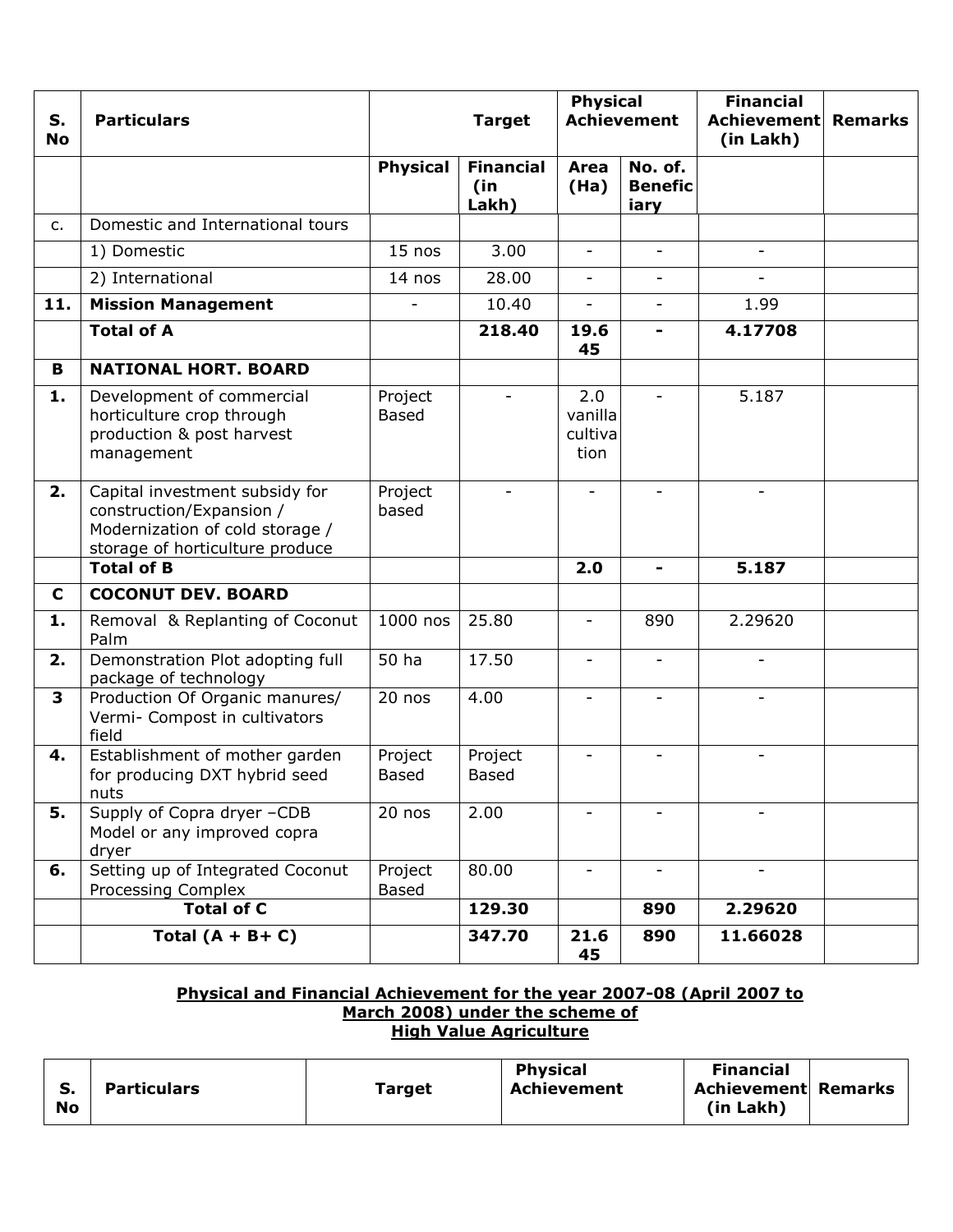| S.<br><b>No</b>         | <b>Particulars</b>                                                                                                               | <b>Target</b>           |                                  | <b>Physical</b><br><b>Achievement</b> |                                   | <b>Financial</b><br><b>Achievement</b><br>(in Lakh) | <b>Remarks</b> |
|-------------------------|----------------------------------------------------------------------------------------------------------------------------------|-------------------------|----------------------------------|---------------------------------------|-----------------------------------|-----------------------------------------------------|----------------|
|                         |                                                                                                                                  | <b>Physical</b>         | <b>Financial</b><br>(in<br>Lakh) | <b>Area</b><br>(Ha)                   | No. of.<br><b>Benefic</b><br>iary |                                                     |                |
| $C_{1}$                 | Domestic and International tours                                                                                                 |                         |                                  |                                       |                                   |                                                     |                |
|                         | 1) Domestic                                                                                                                      | $15$ nos                | 3.00                             | $\overline{\phantom{a}}$              | $\blacksquare$                    |                                                     |                |
|                         | 2) International                                                                                                                 | $14$ nos                | 28.00                            | $\overline{\phantom{a}}$              | $\overline{\phantom{a}}$          |                                                     |                |
| 11.                     | <b>Mission Management</b>                                                                                                        |                         | 10.40                            |                                       |                                   | 1.99                                                |                |
|                         | <b>Total of A</b>                                                                                                                |                         | 218.40                           | 19.6<br>45                            |                                   | 4.17708                                             |                |
| B                       | <b>NATIONAL HORT. BOARD</b>                                                                                                      |                         |                                  |                                       |                                   |                                                     |                |
| 1.                      | Development of commercial<br>horticulture crop through<br>production & post harvest<br>management                                | Project<br><b>Based</b> |                                  | 2.0<br>vanilla<br>cultiva<br>tion     |                                   | 5.187                                               |                |
| 2.                      | Capital investment subsidy for<br>construction/Expansion /<br>Modernization of cold storage /<br>storage of horticulture produce | Project<br>based        |                                  |                                       |                                   |                                                     |                |
|                         | <b>Total of B</b>                                                                                                                |                         |                                  | 2.0                                   |                                   | 5.187                                               |                |
| C                       | <b>COCONUT DEV. BOARD</b>                                                                                                        |                         |                                  |                                       |                                   |                                                     |                |
| 1.                      | Removal & Replanting of Coconut<br>Palm                                                                                          | 1000 nos                | 25.80                            |                                       | 890                               | 2.29620                                             |                |
| 2.                      | Demonstration Plot adopting full<br>package of technology                                                                        | 50 ha                   | 17.50                            |                                       |                                   |                                                     |                |
| $\overline{\mathbf{3}}$ | Production Of Organic manures/<br>Vermi- Compost in cultivators<br>field                                                         | 20 nos                  | 4.00                             |                                       |                                   |                                                     |                |
| 4.                      | Establishment of mother garden<br>for producing DXT hybrid seed<br>nuts                                                          | Project<br><b>Based</b> | Project<br><b>Based</b>          |                                       |                                   |                                                     |                |
| 5.                      | Supply of Copra dryer -CDB<br>Model or any improved copra<br>dryer                                                               | 20 nos                  | 2.00                             |                                       |                                   |                                                     |                |
| 6.                      | Setting up of Integrated Coconut<br>Processing Complex                                                                           | Project<br><b>Based</b> | 80.00                            | $\overline{\phantom{a}}$              | $\overline{\phantom{a}}$          | $\overline{\phantom{a}}$                            |                |
|                         | <b>Total of C</b>                                                                                                                |                         | 129.30                           |                                       | 890                               | 2.29620                                             |                |
|                         | Total $(A + B + C)$                                                                                                              |                         | 347.70                           | 21.6<br>45                            | 890                               | 11.66028                                            |                |

## Physical and Financial Achievement for the year 2007-08 (April 2007 to March 2008) under the scheme of High Value Agriculture

| - - -<br><b>No</b> | <b>Particulars</b> | Target | <b>Physical</b><br>Achievement | <b>Financial</b><br><b>Achievement Remarks</b><br>(in Lakh) |  |
|--------------------|--------------------|--------|--------------------------------|-------------------------------------------------------------|--|
|--------------------|--------------------|--------|--------------------------------|-------------------------------------------------------------|--|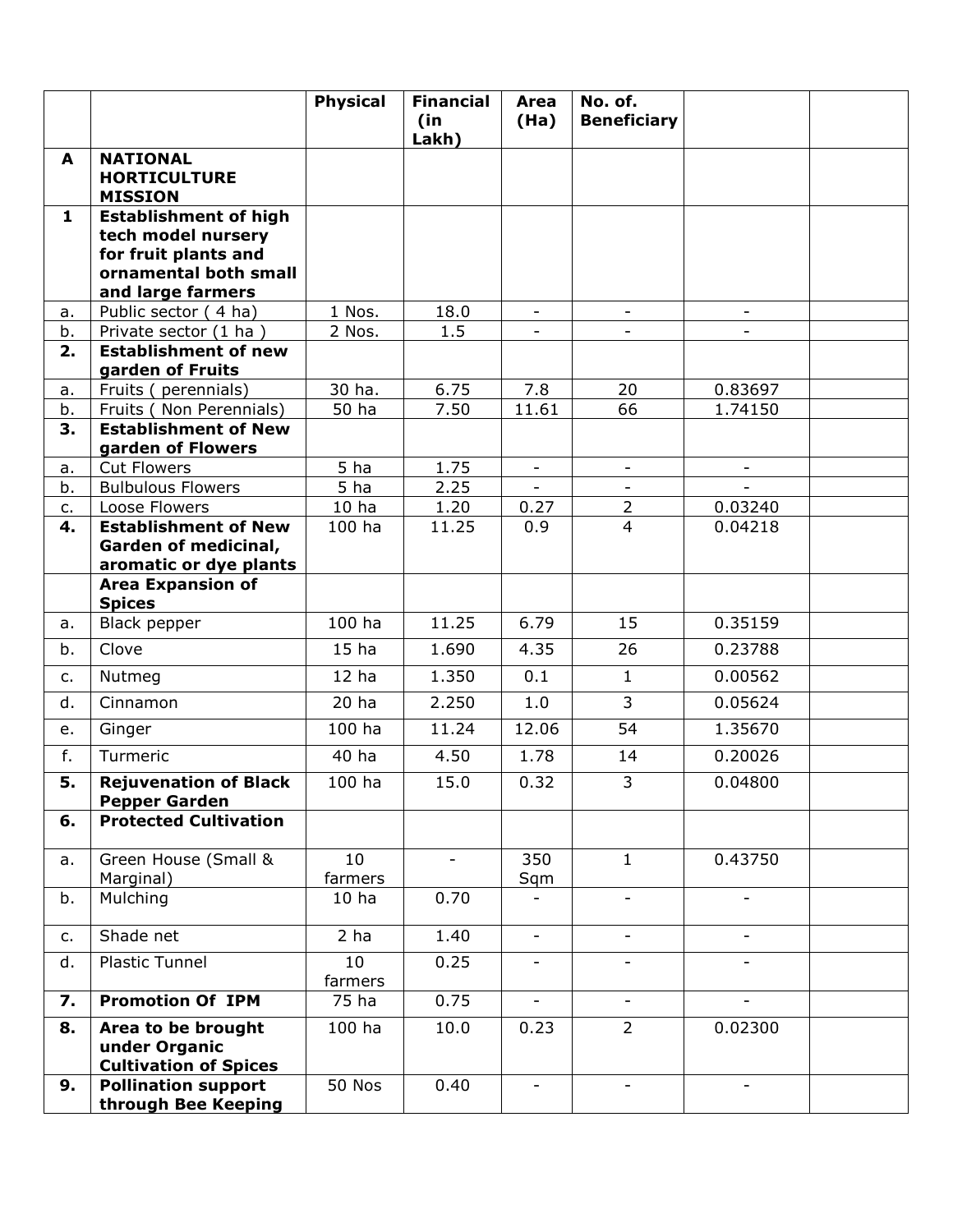|              |                                                      | <b>Physical</b>   | <b>Financial</b><br>(in | Area<br>(Ha)             | No. of.<br><b>Beneficiary</b> |                          |  |
|--------------|------------------------------------------------------|-------------------|-------------------------|--------------------------|-------------------------------|--------------------------|--|
|              |                                                      |                   | Lakh)                   |                          |                               |                          |  |
| A            | <b>NATIONAL</b><br><b>HORTICULTURE</b>               |                   |                         |                          |                               |                          |  |
|              | <b>MISSION</b>                                       |                   |                         |                          |                               |                          |  |
| $\mathbf{1}$ | <b>Establishment of high</b>                         |                   |                         |                          |                               |                          |  |
|              | tech model nursery                                   |                   |                         |                          |                               |                          |  |
|              | for fruit plants and                                 |                   |                         |                          |                               |                          |  |
|              | ornamental both small                                |                   |                         |                          |                               |                          |  |
|              | and large farmers                                    |                   |                         |                          |                               |                          |  |
| a.           | Public sector (4 ha)                                 | 1 Nos.            | 18.0                    |                          |                               |                          |  |
| b.<br>2.     | Private sector (1 ha)<br><b>Establishment of new</b> | 2 Nos.            | 1.5                     |                          |                               |                          |  |
|              | garden of Fruits                                     |                   |                         |                          |                               |                          |  |
| a.           | Fruits (perennials)                                  | 30 ha.            | 6.75                    | 7.8                      | 20                            | 0.83697                  |  |
| b.           | Fruits (Non Perennials)                              | 50 ha             | 7.50                    | 11.61                    | 66                            | 1.74150                  |  |
| 3.           | <b>Establishment of New</b>                          |                   |                         |                          |                               |                          |  |
|              | garden of Flowers                                    |                   |                         |                          |                               |                          |  |
| a.           | <b>Cut Flowers</b>                                   | 5 <sub>ha</sub>   | 1.75                    | $\overline{\phantom{a}}$ | $\overline{\phantom{a}}$      | $\overline{\phantom{a}}$ |  |
| b.           | <b>Bulbulous Flowers</b>                             | 5 <sub>ha</sub>   | 2.25                    | $\sim$                   | $\blacksquare$                |                          |  |
| c.           | Loose Flowers                                        | 10 <sub>ha</sub>  | 1.20                    | 0.27                     | $\overline{2}$                | 0.03240                  |  |
| 4.           | <b>Establishment of New</b>                          | 100 ha            | 11.25                   | 0.9                      | $\overline{4}$                | 0.04218                  |  |
|              | <b>Garden of medicinal,</b>                          |                   |                         |                          |                               |                          |  |
|              | aromatic or dye plants                               |                   |                         |                          |                               |                          |  |
|              | <b>Area Expansion of</b><br><b>Spices</b>            |                   |                         |                          |                               |                          |  |
| a.           | Black pepper                                         | 100 ha            | 11.25                   | 6.79                     | 15                            | 0.35159                  |  |
| b.           | Clove                                                | 15 <sub>ha</sub>  | 1.690                   | 4.35                     | 26                            | 0.23788                  |  |
| $C_{1}$      | Nutmeg                                               | 12 <sub>ha</sub>  | 1.350                   | 0.1                      | $\mathbf{1}$                  | 0.00562                  |  |
| d.           | Cinnamon                                             | 20 <sub>ha</sub>  | 2.250                   | 1.0                      | 3                             | 0.05624                  |  |
|              |                                                      |                   |                         |                          |                               |                          |  |
| e.           | Ginger                                               | 100 ha            | 11.24                   | 12.06                    | 54                            | 1.35670                  |  |
| f.           | Turmeric                                             | 40 ha             | 4.50                    | 1.78                     | 14                            | 0.20026                  |  |
| 5.           | <b>Rejuvenation of Black</b><br><b>Pepper Garden</b> | 100 ha            | 15.0                    | 0.32                     | 3                             | 0.04800                  |  |
| 6.           | <b>Protected Cultivation</b>                         |                   |                         |                          |                               |                          |  |
|              |                                                      |                   |                         |                          |                               |                          |  |
| a.           | Green House (Small &                                 | 10                | $\sim$                  | 350                      | $\mathbf{1}$                  | 0.43750                  |  |
|              | Marginal)                                            | farmers           |                         | Sqm                      |                               |                          |  |
| b.           | Mulching                                             | 10 <sub>ha</sub>  | 0.70                    |                          | $\blacksquare$                | $\sim$                   |  |
| c.           | Shade net                                            | $\overline{2}$ ha | 1.40                    | $\blacksquare$           | $\overline{\phantom{a}}$      | $\blacksquare$           |  |
| d.           | <b>Plastic Tunnel</b>                                | 10                | 0.25                    | $\overline{\phantom{a}}$ | $\overline{\phantom{a}}$      | $\overline{\phantom{a}}$ |  |
|              |                                                      | farmers           |                         |                          |                               |                          |  |
| 7.           | <b>Promotion Of IPM</b>                              | 75 ha             | 0.75                    | $\blacksquare$           | $\overline{\phantom{a}}$      | $\overline{\phantom{0}}$ |  |
| 8.           | Area to be brought                                   | 100 ha            | 10.0                    | 0.23                     | $\overline{2}$                | 0.02300                  |  |
|              | under Organic                                        |                   |                         |                          |                               |                          |  |
|              | <b>Cultivation of Spices</b>                         |                   |                         |                          |                               |                          |  |
| 9.           | <b>Pollination support</b>                           | <b>50 Nos</b>     | 0.40                    |                          |                               | $\overline{\phantom{0}}$ |  |
|              | through Bee Keeping                                  |                   |                         |                          |                               |                          |  |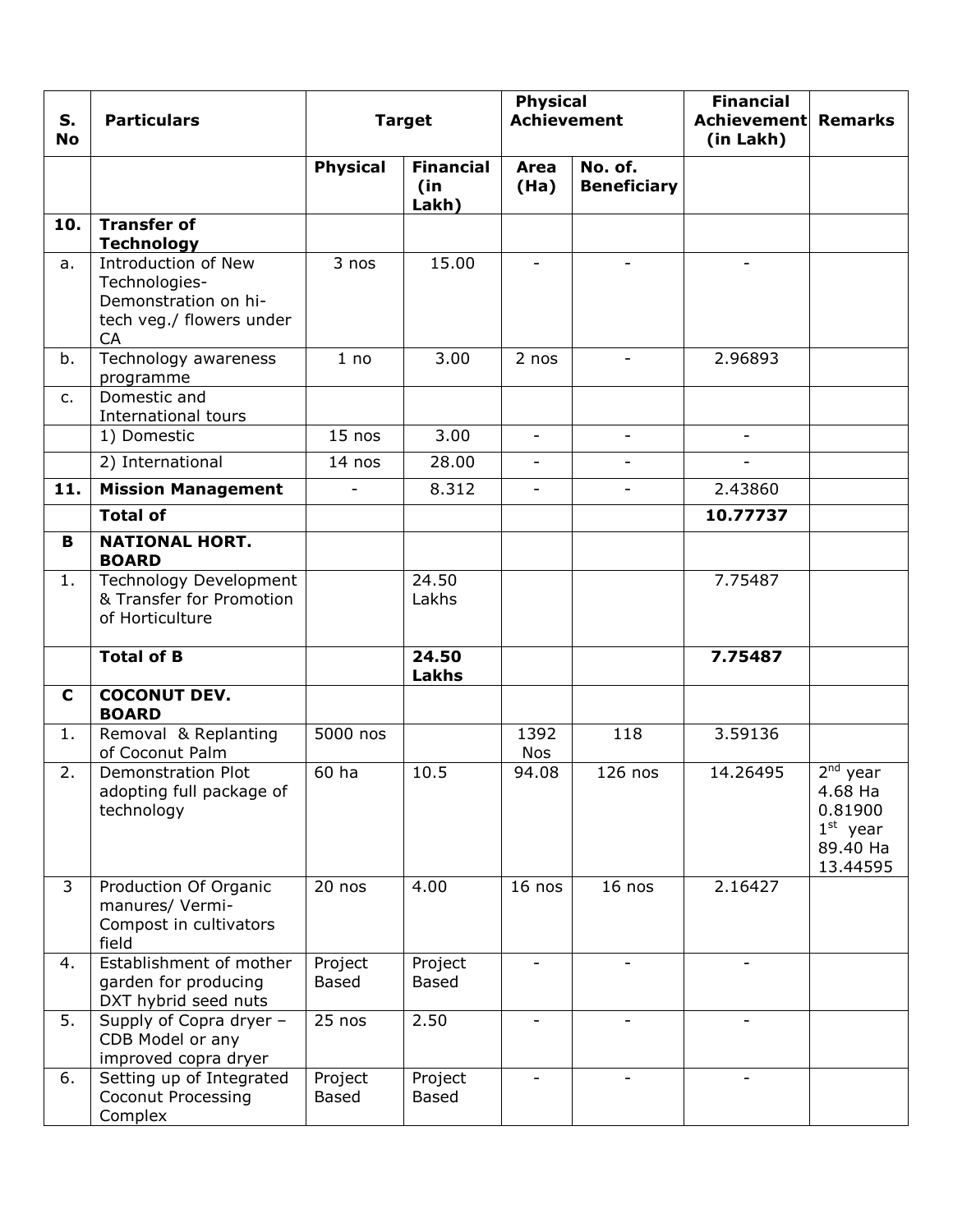| S.<br><b>No</b> | <b>Particulars</b>                                                                             | <b>Target</b>    |                                  | <b>Physical</b><br><b>Achievement</b> |                               | <b>Financial</b><br><b>Achievement</b><br>(in Lakh) | <b>Remarks</b>                                                         |
|-----------------|------------------------------------------------------------------------------------------------|------------------|----------------------------------|---------------------------------------|-------------------------------|-----------------------------------------------------|------------------------------------------------------------------------|
|                 |                                                                                                | <b>Physical</b>  | <b>Financial</b><br>(in<br>Lakh) | Area<br>(Ha)                          | No. of.<br><b>Beneficiary</b> |                                                     |                                                                        |
| 10.             | <b>Transfer of</b><br><b>Technology</b>                                                        |                  |                                  |                                       |                               |                                                     |                                                                        |
| a.              | Introduction of New<br>Technologies-<br>Demonstration on hi-<br>tech veg./ flowers under<br>CA | 3 nos            | 15.00                            | $\overline{\phantom{a}}$              | $\overline{\phantom{a}}$      | $\blacksquare$                                      |                                                                        |
| b.              | Technology awareness<br>programme                                                              | 1 no             | 3.00                             | 2 nos                                 | $\overline{\phantom{a}}$      | 2.96893                                             |                                                                        |
| $\mathsf{C}$ .  | Domestic and<br><b>International tours</b><br>1) Domestic                                      | $15$ nos         | 3.00                             |                                       |                               |                                                     |                                                                        |
|                 | 2) International                                                                               | 14 nos           | 28.00                            | $\overline{\phantom{a}}$              | $\overline{\phantom{a}}$      |                                                     |                                                                        |
| 11.             | <b>Mission Management</b>                                                                      |                  | 8.312                            | $\overline{\phantom{a}}$              | $\overline{\phantom{a}}$      | 2.43860                                             |                                                                        |
|                 | <b>Total of</b>                                                                                |                  |                                  |                                       |                               | 10.77737                                            |                                                                        |
| в               | <b>NATIONAL HORT.</b><br><b>BOARD</b>                                                          |                  |                                  |                                       |                               |                                                     |                                                                        |
| 1.              | <b>Technology Development</b><br>& Transfer for Promotion<br>of Horticulture                   |                  | 24.50<br>Lakhs                   |                                       |                               | 7.75487                                             |                                                                        |
|                 | <b>Total of B</b>                                                                              |                  | 24.50<br><b>Lakhs</b>            |                                       |                               | 7.75487                                             |                                                                        |
| $\mathbf C$     | <b>COCONUT DEV.</b><br><b>BOARD</b>                                                            |                  |                                  |                                       |                               |                                                     |                                                                        |
| 1.              | Removal & Replanting<br>of Coconut Palm                                                        | 5000 nos         |                                  | 1392<br><b>Nos</b>                    | 118                           | 3.59136                                             |                                                                        |
| 2.              | <b>Demonstration Plot</b><br>adopting full package of<br>technology                            | 60 ha            | 10.5                             | 94.08                                 | 126 nos                       | 14.26495                                            | $2nd$ year<br>4.68 Ha<br>0.81900<br>$1st$ year<br>89.40 Ha<br>13.44595 |
| 3               | Production Of Organic<br>manures/ Vermi-<br>Compost in cultivators<br>field                    | 20 nos           | 4.00                             | $16$ nos                              | $16$ nos                      | 2.16427                                             |                                                                        |
| 4.              | Establishment of mother<br>garden for producing<br>DXT hybrid seed nuts                        | Project<br>Based | Project<br>Based                 | $\overline{\phantom{a}}$              | $\overline{\phantom{a}}$      | $\overline{\phantom{a}}$                            |                                                                        |
| 5.              | Supply of Copra dryer -<br>CDB Model or any<br>improved copra dryer                            | 25 nos           | 2.50                             |                                       | $\overline{\phantom{a}}$      | $\blacksquare$                                      |                                                                        |
| 6.              | Setting up of Integrated<br><b>Coconut Processing</b><br>Complex                               | Project<br>Based | Project<br>Based                 |                                       |                               |                                                     |                                                                        |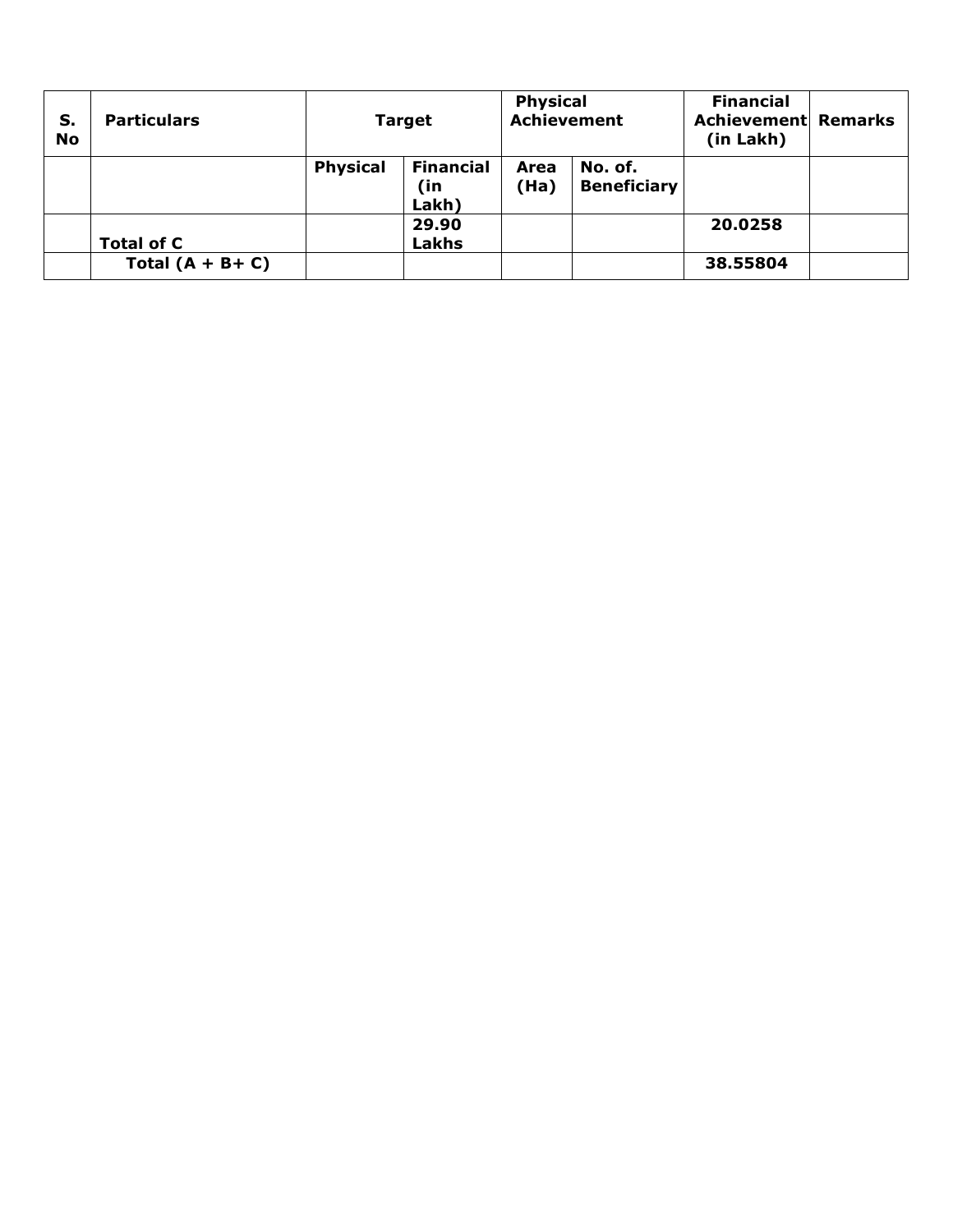| S.<br>No | <b>Particulars</b>  | <b>Target</b>   |                                  | <b>Physical</b><br><b>Achievement</b> |                               | <b>Financial</b><br><b>Achievement Remarks</b><br>(in Lakh) |  |
|----------|---------------------|-----------------|----------------------------------|---------------------------------------|-------------------------------|-------------------------------------------------------------|--|
|          |                     | <b>Physical</b> | <b>Financial</b><br>(in<br>Lakh) | Area<br>(Ha)                          | No. of.<br><b>Beneficiary</b> |                                                             |  |
|          | <b>Total of C</b>   |                 | 29.90<br><b>Lakhs</b>            |                                       |                               | 20.0258                                                     |  |
|          | Total $(A + B + C)$ |                 |                                  |                                       |                               | 38.55804                                                    |  |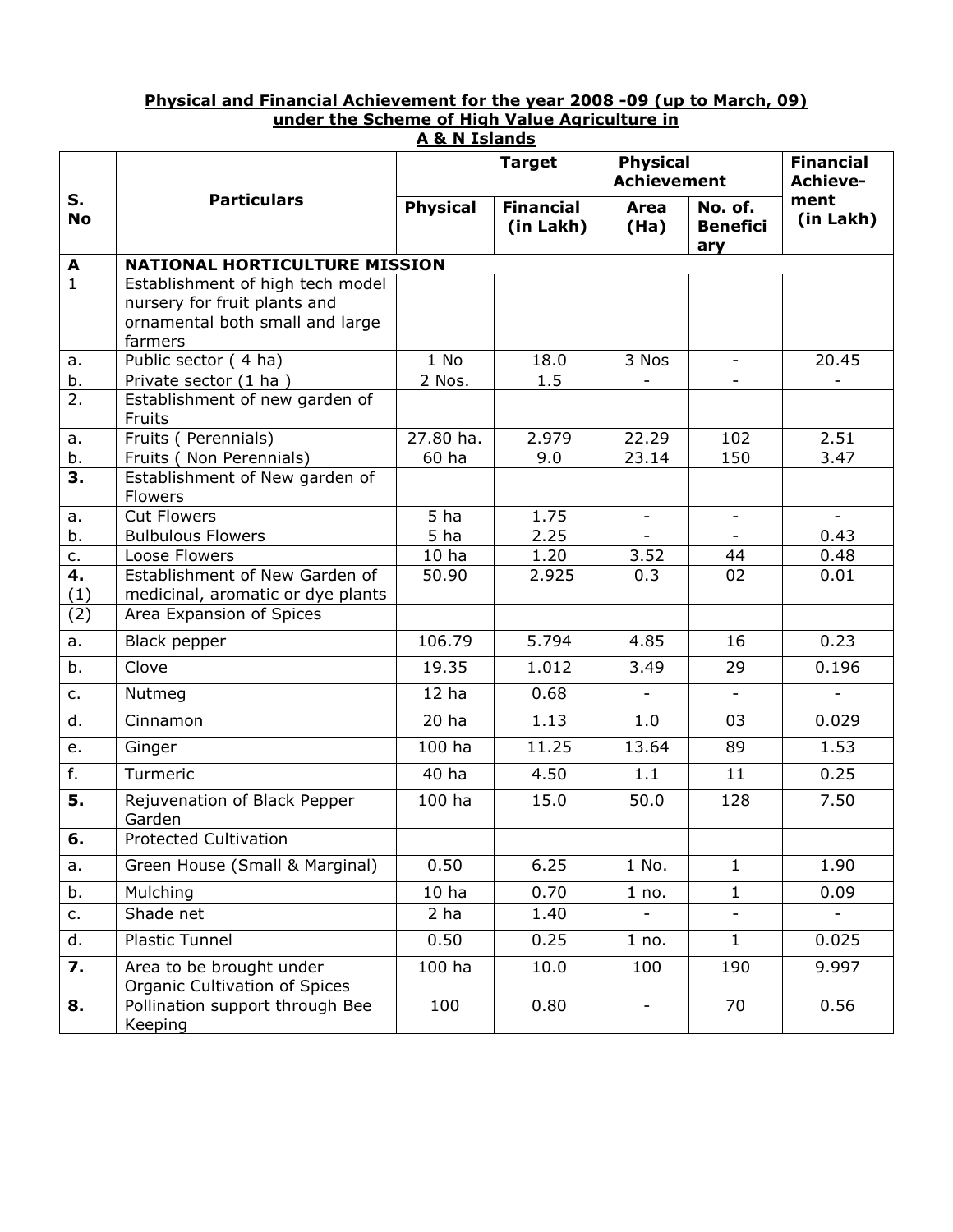#### Physical and Financial Achievement for the year 2008 -09 (up to March, 09) under the Scheme of High Value Agriculture in A & N Islands

|                           |                                                                                                                | <u>a w it islahus</u> | <b>Target</b>                 | <b>Physical</b>          |                                   | <b>Financial</b>  |
|---------------------------|----------------------------------------------------------------------------------------------------------------|-----------------------|-------------------------------|--------------------------|-----------------------------------|-------------------|
|                           |                                                                                                                |                       |                               | <b>Achievement</b>       |                                   | <b>Achieve-</b>   |
| S.<br><b>No</b>           | <b>Particulars</b>                                                                                             | <b>Physical</b>       | <b>Financial</b><br>(in Lakh) | Area<br>(Ha)             | No. of.<br><b>Benefici</b><br>ary | ment<br>(in Lakh) |
| A                         | <b>NATIONAL HORTICULTURE MISSION</b>                                                                           |                       |                               |                          |                                   |                   |
| $\overline{1}$            | Establishment of high tech model<br>nursery for fruit plants and<br>ornamental both small and large<br>farmers |                       |                               |                          |                                   |                   |
| a.                        | Public sector (4 ha)                                                                                           | 1 No                  | 18.0                          | 3 Nos                    | $\overline{\phantom{a}}$          | 20.45             |
| b.                        | Private sector (1 ha)                                                                                          | 2 Nos.                | 1.5                           |                          |                                   |                   |
| 2.                        | Establishment of new garden of<br>Fruits                                                                       |                       |                               |                          |                                   |                   |
| a.                        | Fruits ( Perennials)                                                                                           | 27.80 ha.             | 2.979                         | 22.29                    | 102                               | 2.51              |
| b.                        | Fruits (Non Perennials)                                                                                        | 60 ha                 | 9.0                           | 23.14                    | 150                               | 3.47              |
| $\overline{\mathbf{3}}$ . | Establishment of New garden of<br>Flowers                                                                      |                       |                               |                          |                                   |                   |
| a.                        | <b>Cut Flowers</b>                                                                                             | 5 <sub>ha</sub>       | 1.75                          | $\blacksquare$           | $\overline{\phantom{a}}$          |                   |
| b.                        | <b>Bulbulous Flowers</b>                                                                                       | 5 <sub>ha</sub>       | 2.25                          | $\overline{\phantom{a}}$ | $\overline{\phantom{a}}$          | 0.43              |
| c.                        | Loose Flowers                                                                                                  | 10 <sub>ha</sub>      | 1.20                          | 3.52                     | 44                                | 0.48              |
| $\overline{4}$ .<br>(1)   | Establishment of New Garden of<br>medicinal, aromatic or dye plants                                            | 50.90                 | 2.925                         | 0.3                      | 02                                | 0.01              |
| (2)                       | Area Expansion of Spices                                                                                       |                       |                               |                          |                                   |                   |
| a.                        | Black pepper                                                                                                   | 106.79                | 5.794                         | 4.85                     | 16                                | 0.23              |
| b.                        | Clove                                                                                                          | 19.35                 | 1.012                         | 3.49                     | 29                                | 0.196             |
| c.                        | Nutmeg                                                                                                         | 12 <sub>ha</sub>      | 0.68                          | $\blacksquare$           | $\overline{\phantom{a}}$          |                   |
| d.                        | Cinnamon                                                                                                       | 20 <sub>ha</sub>      | 1.13                          | 1.0                      | 03                                | 0.029             |
| e.                        | Ginger                                                                                                         | 100 ha                | 11.25                         | 13.64                    | 89                                | 1.53              |
| f.                        | Turmeric                                                                                                       | 40 ha                 | 4.50                          | 1.1                      | 11                                | 0.25              |
| 5.                        | Rejuvenation of Black Pepper<br>Garden                                                                         | 100 ha                | 15.0                          | 50.0                     | 128                               | 7.50              |
| 6.                        | <b>Protected Cultivation</b>                                                                                   |                       |                               |                          |                                   |                   |
| a.                        | Green House (Small & Marginal)                                                                                 | 0.50                  | 6.25                          | 1 No.                    | $\mathbf{1}$                      | 1.90              |
| b.                        | Mulching                                                                                                       | 10 <sub>ha</sub>      | 0.70                          | 1 no.                    | 1                                 | 0.09              |
| c.                        | Shade net                                                                                                      | 2 <sub>ha</sub>       | 1.40                          |                          |                                   |                   |
| d.                        | Plastic Tunnel                                                                                                 | 0.50                  | 0.25                          | 1 no.                    | $\mathbf{1}$                      | 0.025             |
| 7.                        | Area to be brought under<br>Organic Cultivation of Spices                                                      | 100 ha                | 10.0                          | 100                      | 190                               | 9.997             |
| 8.                        | Pollination support through Bee<br>Keeping                                                                     | 100                   | 0.80                          | $\overline{\phantom{a}}$ | 70                                | 0.56              |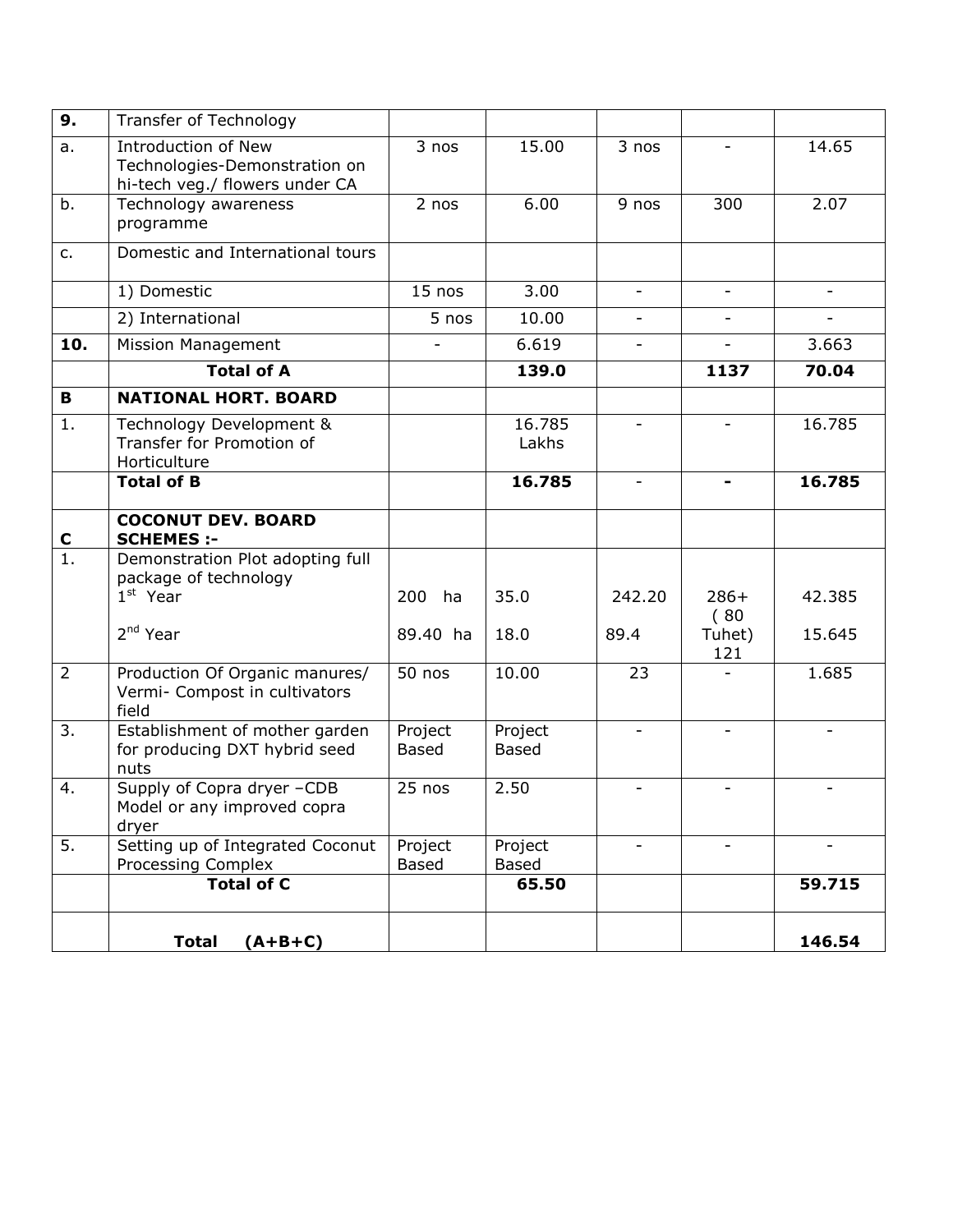| 9.               | <b>Transfer of Technology</b>                                                          |                         |                         |                          |                          |                          |
|------------------|----------------------------------------------------------------------------------------|-------------------------|-------------------------|--------------------------|--------------------------|--------------------------|
| a.               | Introduction of New<br>Technologies-Demonstration on<br>hi-tech veg./ flowers under CA | 3 nos                   | 15.00                   | 3 nos                    |                          | 14.65                    |
| b.               | Technology awareness<br>programme                                                      | 2 nos                   | 6.00                    | 9 nos                    | 300                      | 2.07                     |
| $C_{1}$          | Domestic and International tours                                                       |                         |                         |                          |                          |                          |
|                  | 1) Domestic                                                                            | $15$ nos                | 3.00                    | $\overline{\phantom{a}}$ | $\overline{\phantom{a}}$ | $\overline{\phantom{a}}$ |
|                  | 2) International                                                                       | 5 nos                   | 10.00                   | $\overline{\phantom{a}}$ | $\overline{\phantom{a}}$ | $\overline{\phantom{a}}$ |
| 10.              | <b>Mission Management</b>                                                              |                         | 6.619                   | $\overline{\phantom{a}}$ | $\overline{\phantom{a}}$ | 3.663                    |
|                  | <b>Total of A</b>                                                                      |                         | 139.0                   |                          | 1137                     | 70.04                    |
| B                | <b>NATIONAL HORT. BOARD</b>                                                            |                         |                         |                          |                          |                          |
| 1.               | Technology Development &<br>Transfer for Promotion of<br>Horticulture                  |                         | 16.785<br>Lakhs         |                          |                          | 16.785                   |
|                  | <b>Total of B</b>                                                                      |                         | 16.785                  |                          |                          | 16.785                   |
| C                | <b>COCONUT DEV. BOARD</b><br><b>SCHEMES :-</b>                                         |                         |                         |                          |                          |                          |
| $\overline{1}$ . | Demonstration Plot adopting full<br>package of technology<br>$1st$ Year                | 200<br>ha               | 35.0                    | 242.20                   | $286+$                   | 42.385                   |
|                  | 2 <sup>nd</sup> Year                                                                   | 89.40 ha                | 18.0                    | 89.4                     | (80)<br>Tuhet)<br>121    | 15.645                   |
| $\overline{2}$   | Production Of Organic manures/<br>Vermi- Compost in cultivators<br>field               | 50 nos                  | 10.00                   | 23                       |                          | 1.685                    |
| 3.               | Establishment of mother garden<br>for producing DXT hybrid seed<br>nuts                | Project<br><b>Based</b> | Project<br><b>Based</b> | $\blacksquare$           | $\blacksquare$           | $\overline{\phantom{a}}$ |
| 4.               | Supply of Copra dryer -CDB<br>Model or any improved copra<br>dryer                     | 25 nos                  | 2.50                    |                          |                          |                          |
| 5.               | Setting up of Integrated Coconut<br>Processing Complex                                 | Project<br><b>Based</b> | Project<br>Based        |                          |                          |                          |
|                  | <b>Total of C</b>                                                                      |                         | 65.50                   |                          |                          | 59.715                   |
|                  | <b>Total</b><br>$(A+B+C)$                                                              |                         |                         |                          |                          | 146.54                   |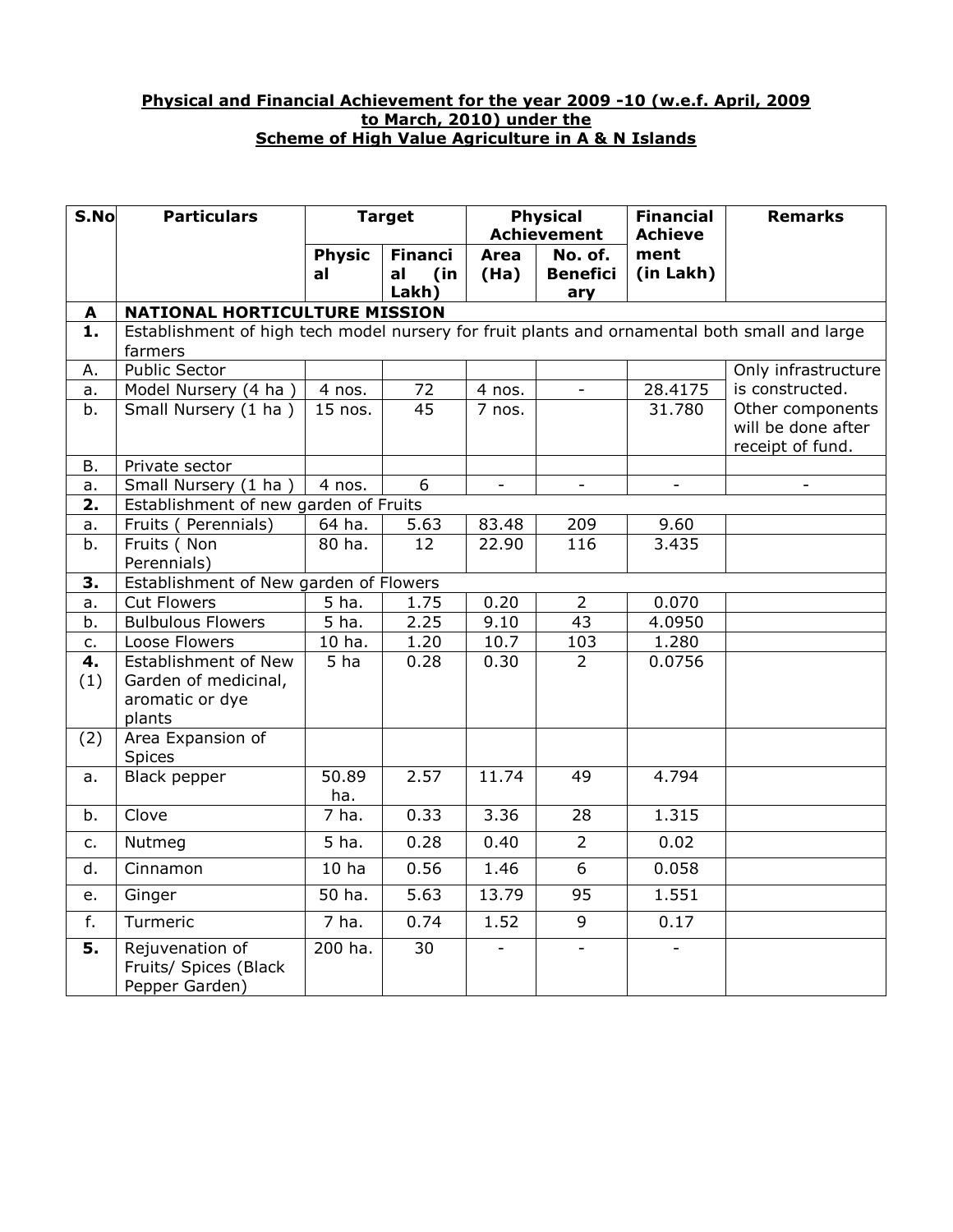## Physical and Financial Achievement for the year 2009 -10 (w.e.f. April, 2009 to March, 2010) under the Scheme of High Value Agriculture in A & N Islands

| S.No      | <b>Particulars</b>                                                                                       | <b>Target</b>       |                                      |              | <b>Physical</b><br><b>Achievement</b> | <b>Financial</b><br><b>Achieve</b> | <b>Remarks</b>                                             |
|-----------|----------------------------------------------------------------------------------------------------------|---------------------|--------------------------------------|--------------|---------------------------------------|------------------------------------|------------------------------------------------------------|
|           |                                                                                                          | <b>Physic</b><br>al | <b>Financi</b><br>(in<br>al<br>Lakh) | Area<br>(Ha) | No. of.<br><b>Benefici</b><br>ary     | ment<br>(in Lakh)                  |                                                            |
| A         | <b>NATIONAL HORTICULTURE MISSION</b>                                                                     |                     |                                      |              |                                       |                                    |                                                            |
| 1.        | Establishment of high tech model nursery for fruit plants and ornamental both small and large<br>farmers |                     |                                      |              |                                       |                                    |                                                            |
| Α.        | <b>Public Sector</b>                                                                                     |                     |                                      |              |                                       |                                    | Only infrastructure                                        |
| a.        | Model Nursery (4 ha)                                                                                     | 4 nos.              | 72                                   | 4 nos.       |                                       | 28.4175                            | is constructed.                                            |
| b.        | Small Nursery (1 ha)                                                                                     | 15 nos.             | 45                                   | 7 nos.       |                                       | 31.780                             | Other components<br>will be done after<br>receipt of fund. |
| <b>B.</b> | Private sector                                                                                           |                     |                                      |              |                                       |                                    |                                                            |
| a.        | Small Nursery (1 ha)                                                                                     | 4 nos.              | 6                                    |              |                                       |                                    |                                                            |
| 2.        | Establishment of new garden of Fruits                                                                    |                     |                                      |              |                                       |                                    |                                                            |
| a.        | Fruits (Perennials)                                                                                      | 64 ha.              | 5.63                                 | 83.48        | 209                                   | 9.60                               |                                                            |
| b.        | Fruits (Non<br>Perennials)                                                                               | 80 ha.              | 12                                   | 22.90        | 116                                   | 3.435                              |                                                            |
| 3.        | Establishment of New garden of Flowers                                                                   |                     |                                      |              |                                       |                                    |                                                            |
| a.        | <b>Cut Flowers</b>                                                                                       | 5 ha.               | 1.75                                 | 0.20         | $\overline{2}$                        | 0.070                              |                                                            |
| b.        | <b>Bulbulous Flowers</b>                                                                                 | 5 ha.               | 2.25                                 | 9.10         | 43                                    | 4.0950                             |                                                            |
| c.        | Loose Flowers                                                                                            | 10 ha.              | 1.20                                 | 10.7         | 103                                   | 1.280                              |                                                            |
| 4.<br>(1) | <b>Establishment of New</b><br>Garden of medicinal,<br>aromatic or dye<br>plants                         | 5 <sub>ha</sub>     | 0.28                                 | 0.30         | 2                                     | 0.0756                             |                                                            |
| (2)       | Area Expansion of<br><b>Spices</b>                                                                       |                     |                                      |              |                                       |                                    |                                                            |
| a.        | <b>Black pepper</b>                                                                                      | 50.89<br>ha.        | 2.57                                 | 11.74        | 49                                    | 4.794                              |                                                            |
| b.        | Clove                                                                                                    | 7 ha.               | 0.33                                 | 3.36         | 28                                    | 1.315                              |                                                            |
| c.        | Nutmeg                                                                                                   | $5$ ha.             | 0.28                                 | 0.40         | $\overline{2}$                        | 0.02                               |                                                            |
| d.        | Cinnamon                                                                                                 | 10 <sub>ha</sub>    | 0.56                                 | 1.46         | 6                                     | 0.058                              |                                                            |
| е.        | Ginger                                                                                                   | 50 ha.              | 5.63                                 | 13.79        | 95                                    | 1.551                              |                                                            |
| f.        | Turmeric                                                                                                 | 7 ha.               | 0.74                                 | 1.52         | 9                                     | 0.17                               |                                                            |
| 5.        | Rejuvenation of<br>Fruits/ Spices (Black<br>Pepper Garden)                                               | 200 ha.             | 30                                   |              |                                       |                                    |                                                            |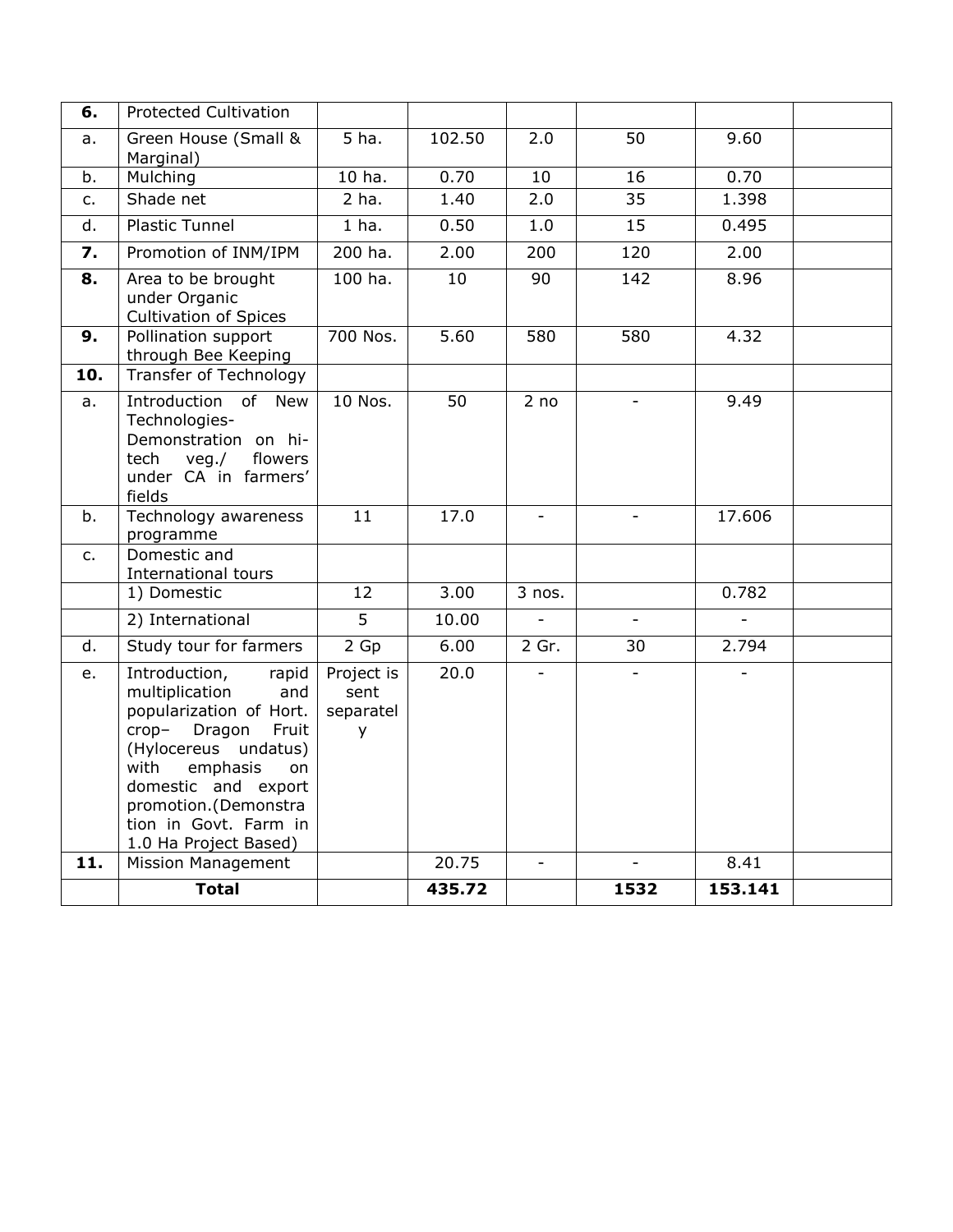| 6.      | <b>Protected Cultivation</b>                                                                                                                                                                                                                           |                                      |                 |                          |                          |                          |  |
|---------|--------------------------------------------------------------------------------------------------------------------------------------------------------------------------------------------------------------------------------------------------------|--------------------------------------|-----------------|--------------------------|--------------------------|--------------------------|--|
| a.      | Green House (Small &<br>Marginal)                                                                                                                                                                                                                      | $5$ ha.                              | 102.50          | 2.0                      | 50                       | 9.60                     |  |
| b.      | Mulching                                                                                                                                                                                                                                               | 10 ha.                               | 0.70            | 10                       | 16                       | 0.70                     |  |
| c.      | Shade net                                                                                                                                                                                                                                              | $2$ ha.                              | 1.40            | 2.0                      | 35                       | 1.398                    |  |
| d.      | Plastic Tunnel                                                                                                                                                                                                                                         | $1$ ha.                              | 0.50            | 1.0                      | $\overline{15}$          | 0.495                    |  |
| 7.      | Promotion of INM/IPM                                                                                                                                                                                                                                   | 200 ha.                              | 2.00            | 200                      | 120                      | 2.00                     |  |
| 8.      | Area to be brought<br>under Organic<br><b>Cultivation of Spices</b>                                                                                                                                                                                    | 100 ha.                              | 10              | 90                       | 142                      | 8.96                     |  |
| 9.      | Pollination support<br>through Bee Keeping                                                                                                                                                                                                             | 700 Nos.                             | 5.60            | 580                      | 580                      | 4.32                     |  |
| 10.     | Transfer of Technology                                                                                                                                                                                                                                 |                                      |                 |                          |                          |                          |  |
| a.      | Introduction of New<br>Technologies-<br>Demonstration on hi-<br>veg./<br>flowers<br>tech<br>under CA in farmers'<br>fields                                                                                                                             | 10 Nos.                              | $\overline{50}$ | 2 no                     |                          | 9.49                     |  |
| b.      | Technology awareness<br>programme                                                                                                                                                                                                                      | 11                                   | 17.0            | $\mathbf{r}$             | $\overline{\phantom{a}}$ | 17.606                   |  |
| $C_{1}$ | Domestic and<br><b>International tours</b>                                                                                                                                                                                                             |                                      |                 |                          |                          |                          |  |
|         | 1) Domestic                                                                                                                                                                                                                                            | 12                                   | 3.00            | 3 nos.                   |                          | 0.782                    |  |
|         | 2) International                                                                                                                                                                                                                                       | 5                                    | 10.00           | $\overline{\phantom{a}}$ | $\overline{\phantom{a}}$ | $\overline{\phantom{a}}$ |  |
| d.      | Study tour for farmers                                                                                                                                                                                                                                 | 2 Gp                                 | 6.00            | 2 Gr.                    | 30                       | 2.794                    |  |
| e.      | Introduction,<br>rapid<br>multiplication<br>and<br>popularization of Hort.<br>crop- Dragon<br>Fruit<br>(Hylocereus undatus)<br>with<br>emphasis<br>on<br>domestic and export<br>promotion.(Demonstra<br>tion in Govt. Farm in<br>1.0 Ha Project Based) | Project is<br>sent<br>separatel<br>y | 20.0            |                          | $\overline{\phantom{a}}$ |                          |  |
| 11.     | <b>Mission Management</b>                                                                                                                                                                                                                              |                                      | 20.75           |                          |                          | 8.41                     |  |
|         | <b>Total</b>                                                                                                                                                                                                                                           |                                      | 435.72          |                          | 1532                     | 153.141                  |  |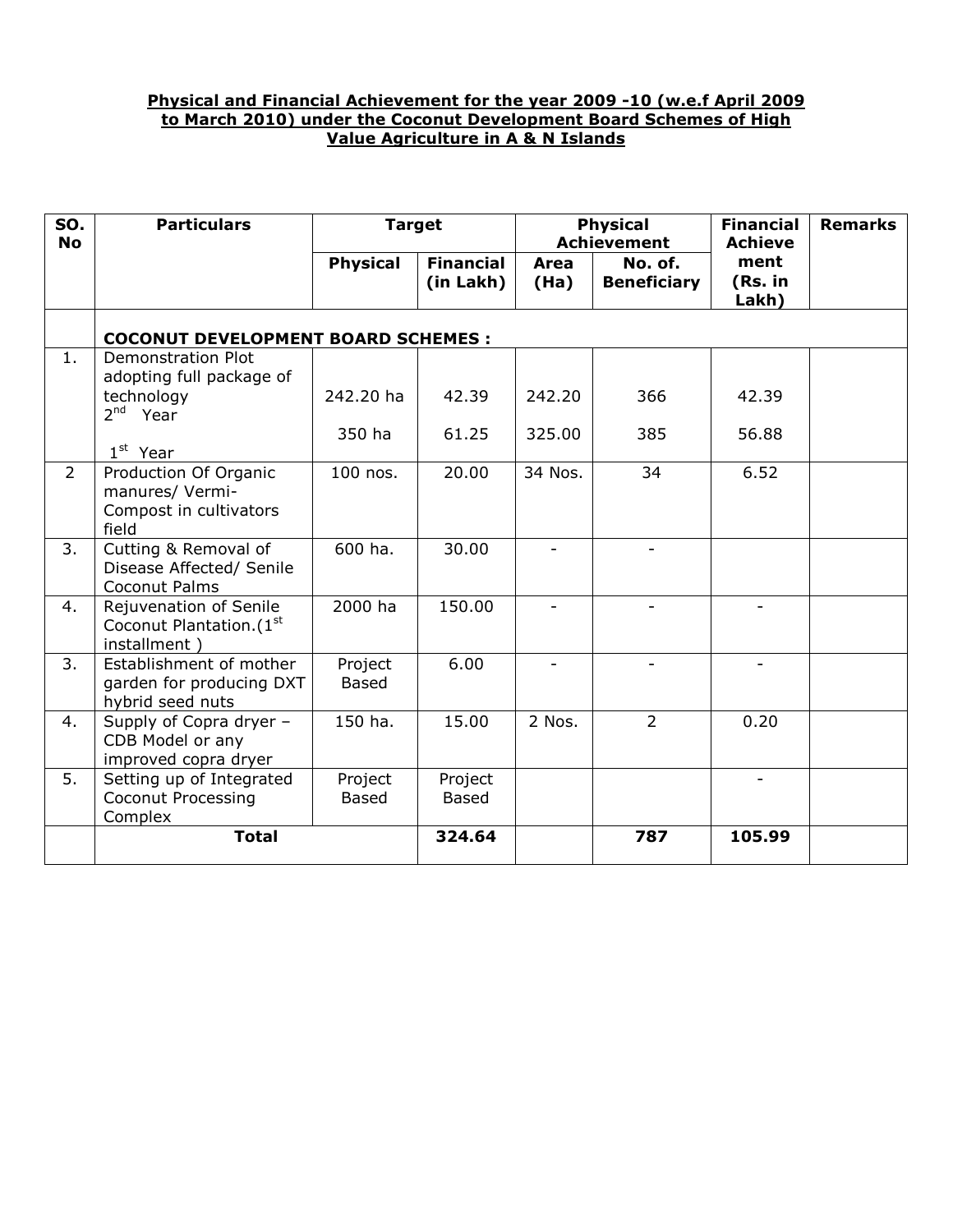## Physical and Financial Achievement for the year 2009 -10 (w.e.f April 2009 to March 2010) under the Coconut Development Board Schemes of High Value Agriculture in A & N Islands

| SO.<br><b>No</b> | <b>Particulars</b>                                                          | <b>Target</b>           |                               |                     | <b>Physical</b><br><b>Achievement</b> | <b>Financial</b><br><b>Achieve</b> | <b>Remarks</b> |
|------------------|-----------------------------------------------------------------------------|-------------------------|-------------------------------|---------------------|---------------------------------------|------------------------------------|----------------|
|                  |                                                                             | <b>Physical</b>         | <b>Financial</b><br>(in Lakh) | <b>Area</b><br>(Ha) | No. of.<br><b>Beneficiary</b>         | ment<br>(Rs. in<br>Lakh)           |                |
|                  | <b>COCONUT DEVELOPMENT BOARD SCHEMES :</b>                                  |                         |                               |                     |                                       |                                    |                |
| 1.               | <b>Demonstration Plot</b><br>adopting full package of<br>technology         | 242.20 ha               | 42.39                         | 242.20              | 366                                   | 42.39                              |                |
|                  | $2nd$ Year<br>$1st$ Year                                                    | 350 ha                  | 61.25                         | 325.00              | 385                                   | 56.88                              |                |
| $\overline{2}$   | Production Of Organic<br>manures/ Vermi-<br>Compost in cultivators<br>field | 100 nos.                | 20.00                         | 34 Nos.             | 34                                    | 6.52                               |                |
| 3.               | Cutting & Removal of<br>Disease Affected/ Senile<br>Coconut Palms           | 600 ha.                 | 30.00                         |                     |                                       |                                    |                |
| 4.               | Rejuvenation of Senile<br>Coconut Plantation.(1st<br>installment)           | 2000 ha                 | 150.00                        |                     | $\overline{\phantom{0}}$              |                                    |                |
| 3.               | Establishment of mother<br>garden for producing DXT<br>hybrid seed nuts     | Project<br><b>Based</b> | 6.00                          |                     | -                                     |                                    |                |
| 4.               | Supply of Copra dryer -<br>CDB Model or any<br>improved copra dryer         | 150 ha.                 | 15.00                         | 2 Nos.              | $\overline{2}$                        | 0.20                               |                |
| 5.               | Setting up of Integrated<br><b>Coconut Processing</b><br>Complex            | Project<br><b>Based</b> | Project<br><b>Based</b>       |                     |                                       |                                    |                |
|                  | <b>Total</b>                                                                |                         | 324.64                        |                     | 787                                   | 105.99                             |                |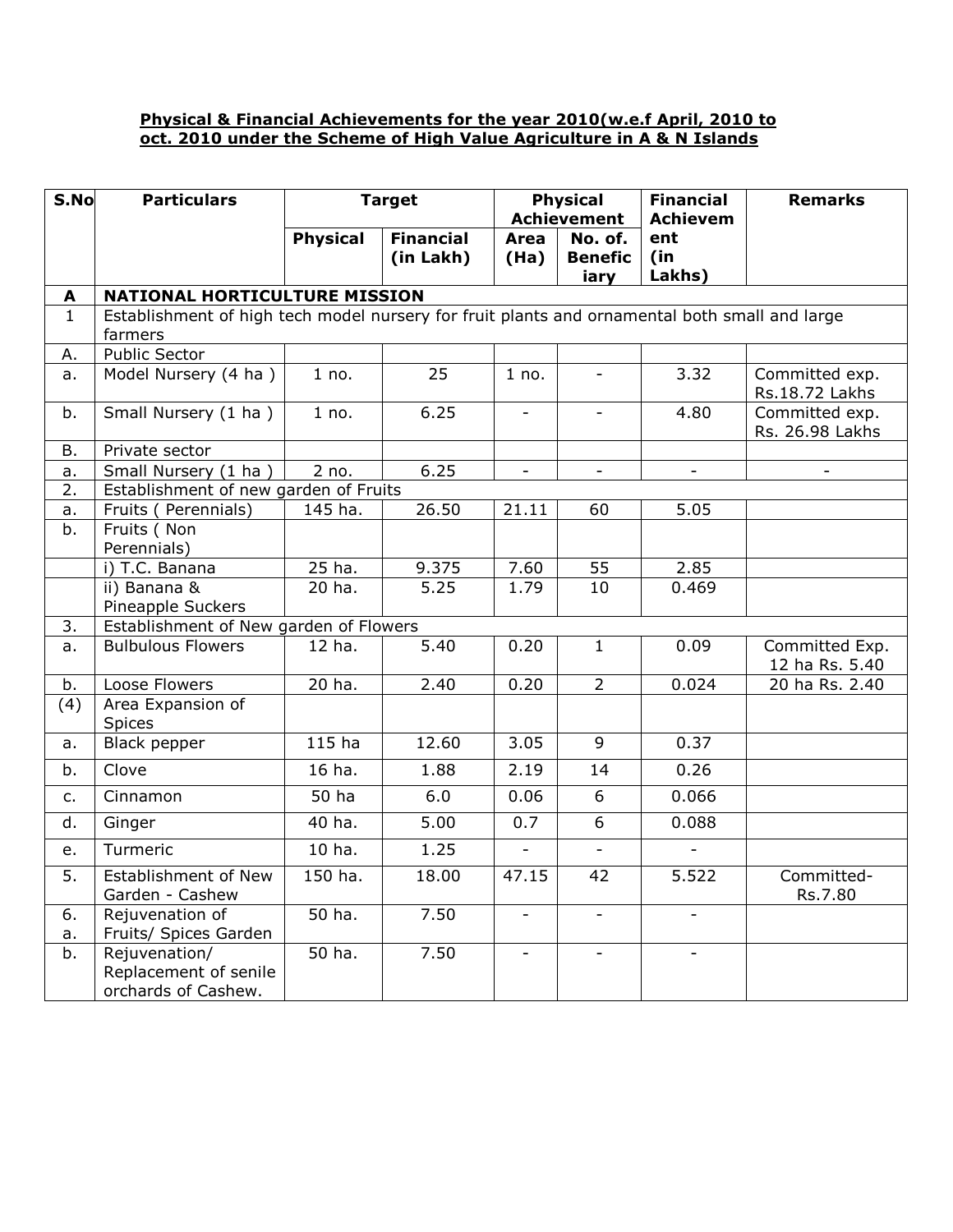## Physical & Financial Achievements for the year 2010(w.e.f April, 2010 to oct. 2010 under the Scheme of High Value Agriculture in A & N Islands

| S.No         | <b>Particulars</b>                                                                                       |                 | <b>Target</b>                 | <b>Physical</b><br><b>Achievement</b> |                                   | <b>Financial</b><br><b>Achievem</b> | <b>Remarks</b>                    |
|--------------|----------------------------------------------------------------------------------------------------------|-----------------|-------------------------------|---------------------------------------|-----------------------------------|-------------------------------------|-----------------------------------|
|              |                                                                                                          | <b>Physical</b> | <b>Financial</b><br>(in Lakh) | <b>Area</b><br>(Ha)                   | No. of.<br><b>Benefic</b><br>iary | ent<br>(in<br>Lakhs)                |                                   |
| A            | <b>NATIONAL HORTICULTURE MISSION</b>                                                                     |                 |                               |                                       |                                   |                                     |                                   |
| $\mathbf{1}$ | Establishment of high tech model nursery for fruit plants and ornamental both small and large<br>farmers |                 |                               |                                       |                                   |                                     |                                   |
| Α.           | <b>Public Sector</b>                                                                                     |                 |                               |                                       |                                   |                                     |                                   |
| a.           | Model Nursery (4 ha)                                                                                     | 1 no.           | 25                            | 1 no.                                 |                                   | 3.32                                | Committed exp.<br>Rs.18.72 Lakhs  |
| b.           | Small Nursery (1 ha)                                                                                     | 1 no.           | 6.25                          | $\overline{\phantom{0}}$              | $\overline{\phantom{a}}$          | 4.80                                | Committed exp.<br>Rs. 26.98 Lakhs |
| <b>B.</b>    | Private sector                                                                                           |                 |                               |                                       |                                   |                                     |                                   |
| a.           | Small Nursery (1 ha)                                                                                     | 2 no.           | 6.25                          | $\overline{\phantom{0}}$              | $\overline{\phantom{a}}$          | $\overline{\phantom{a}}$            | $\overline{\phantom{a}}$          |
| 2.           | Establishment of new garden of Fruits                                                                    |                 |                               |                                       |                                   |                                     |                                   |
| a.           | Fruits (Perennials)                                                                                      | 145 ha.         | 26.50                         | 21.11                                 | 60                                | 5.05                                |                                   |
| b.           | Fruits (Non<br>Perennials)                                                                               |                 |                               |                                       |                                   |                                     |                                   |
|              | i) T.C. Banana                                                                                           | 25 ha.          | 9.375                         | 7.60                                  | 55                                | 2.85                                |                                   |
|              | ii) Banana &<br>Pineapple Suckers                                                                        | 20 ha.          | 5.25                          | 1.79                                  | 10                                | 0.469                               |                                   |
| 3.           | Establishment of New garden of Flowers                                                                   |                 |                               |                                       |                                   |                                     |                                   |
| a.           | <b>Bulbulous Flowers</b>                                                                                 | 12 ha.          | 5.40                          | 0.20                                  | $\mathbf{1}$                      | 0.09                                | Committed Exp.<br>12 ha Rs. 5.40  |
| b.           | Loose Flowers                                                                                            | 20 ha.          | 2.40                          | 0.20                                  | $\overline{2}$                    | 0.024                               | 20 ha Rs. 2.40                    |
| (4)          | Area Expansion of<br><b>Spices</b>                                                                       |                 |                               |                                       |                                   |                                     |                                   |
| a.           | Black pepper                                                                                             | 115 ha          | 12.60                         | 3.05                                  | 9                                 | 0.37                                |                                   |
| b.           | Clove                                                                                                    | 16 ha.          | 1.88                          | 2.19                                  | 14                                | 0.26                                |                                   |
| c.           | Cinnamon                                                                                                 | 50 ha           | 6.0                           | 0.06                                  | 6                                 | 0.066                               |                                   |
| d.           | Ginger                                                                                                   | 40 ha.          | 5.00                          | 0.7                                   | 6                                 | 0.088                               |                                   |
| e.           | Turmeric                                                                                                 | 10 ha.          | 1.25                          |                                       | $\overline{\phantom{a}}$          | $\overline{\phantom{a}}$            |                                   |
| 5.           | Establishment of New<br>Garden - Cashew                                                                  | 150 ha.         | 18.00                         | 47.15                                 | 42                                | 5.522                               | Committed-<br>Rs.7.80             |
| 6.<br>a.     | Rejuvenation of<br>Fruits/ Spices Garden                                                                 | 50 ha.          | 7.50                          |                                       |                                   |                                     |                                   |
| b.           | Rejuvenation/<br>Replacement of senile<br>orchards of Cashew.                                            | 50 ha.          | 7.50                          |                                       |                                   |                                     |                                   |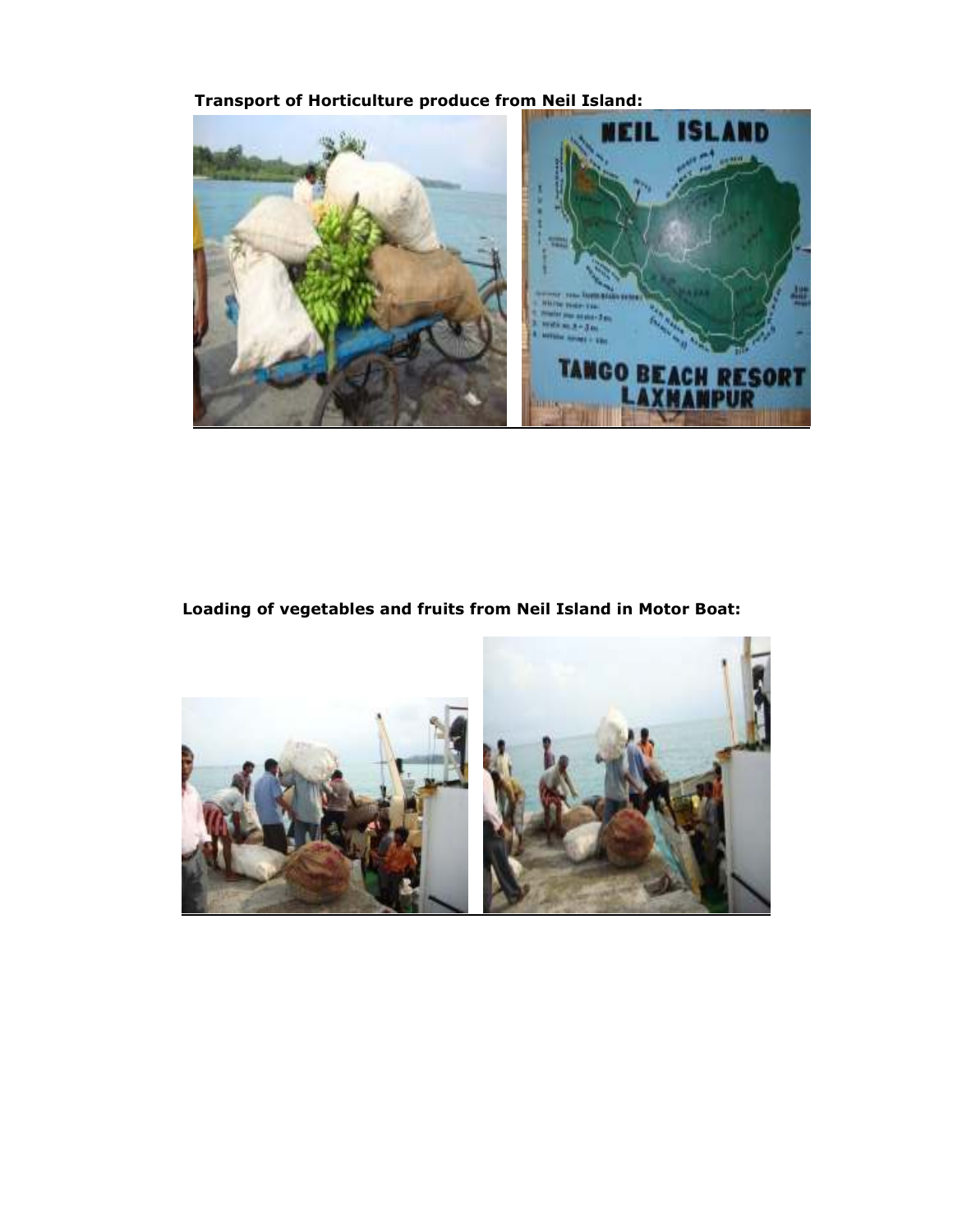Transport of Horticulture produce from Neil Island:



# Loading of vegetables and fruits from Neil Island in Motor Boat:

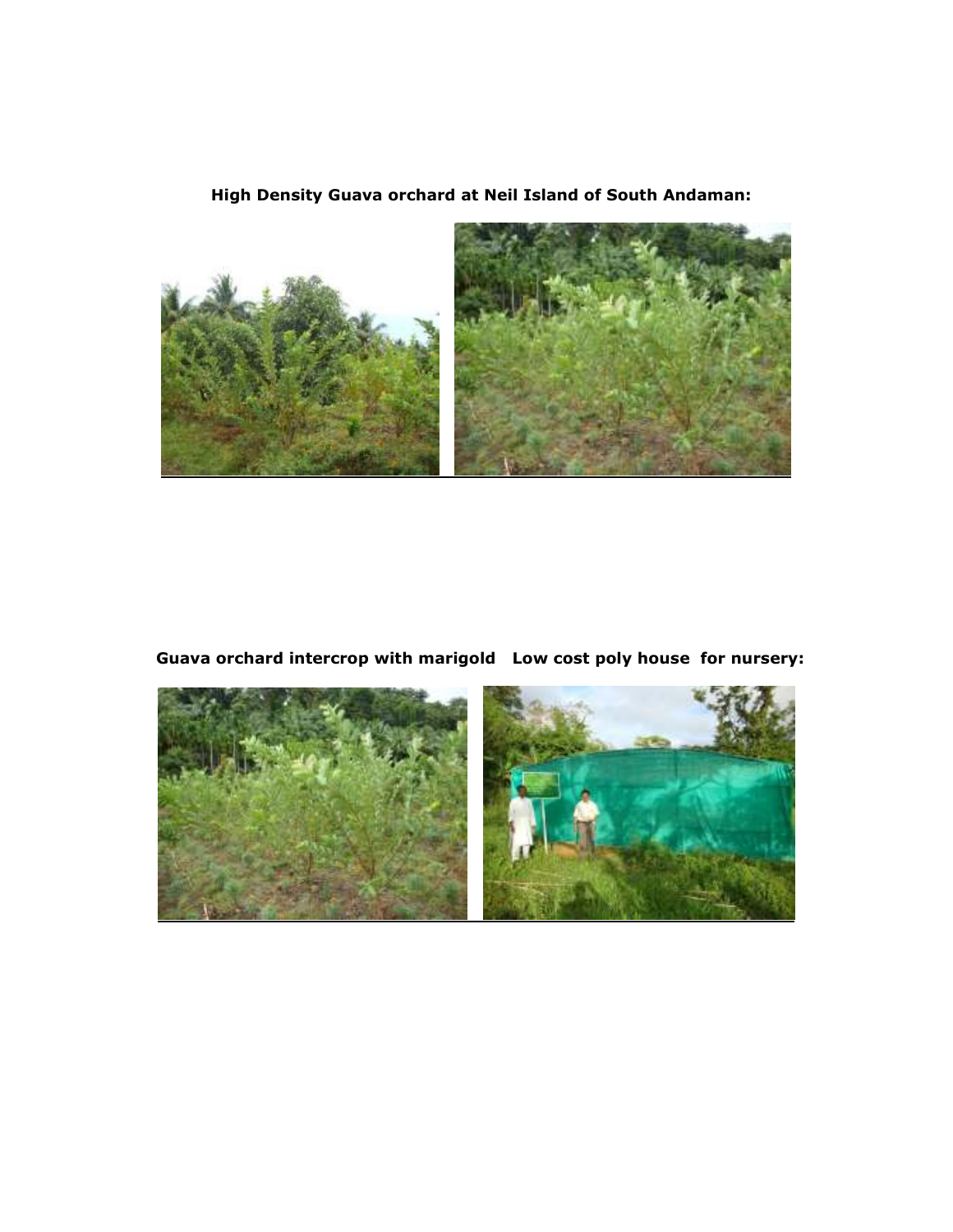

High Density Guava orchard at Neil Island of South Andaman:

Guava orchard intercrop with marigold Low cost poly house for nursery:

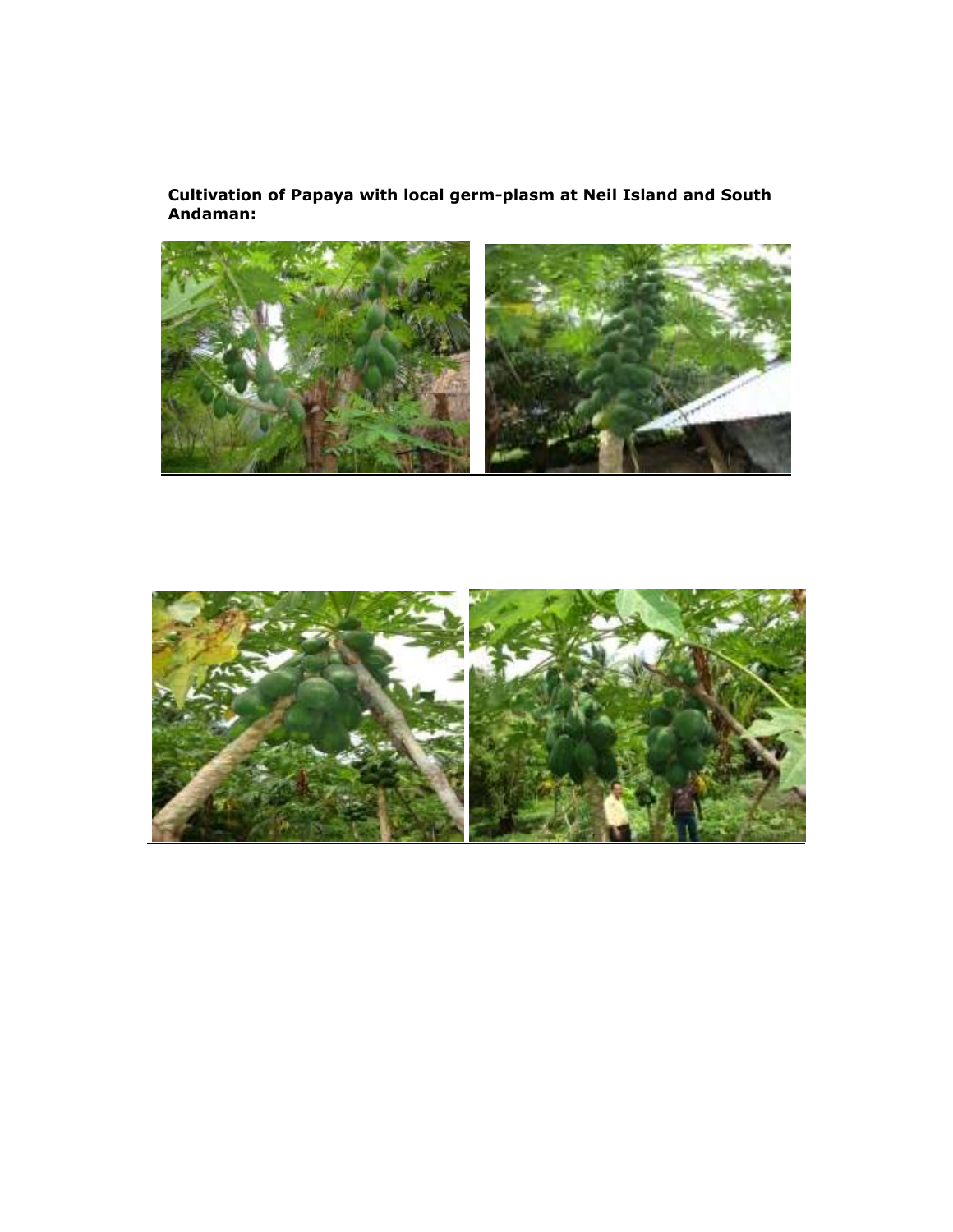Cultivation of Papaya with local germ-plasm at Neil Island and South Andaman:



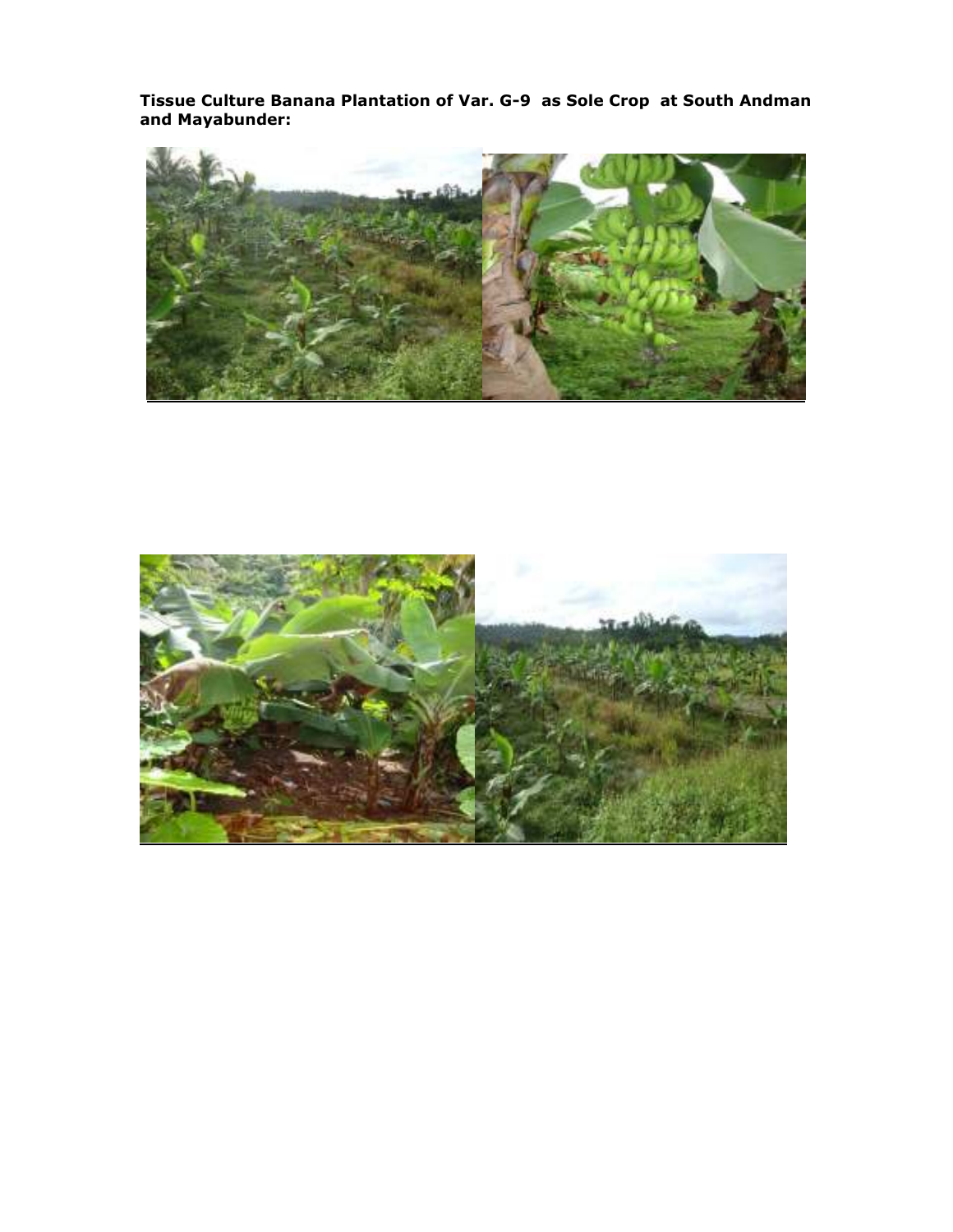Tissue Culture Banana Plantation of Var. G-9 as Sole Crop at South Andman and Mayabunder:



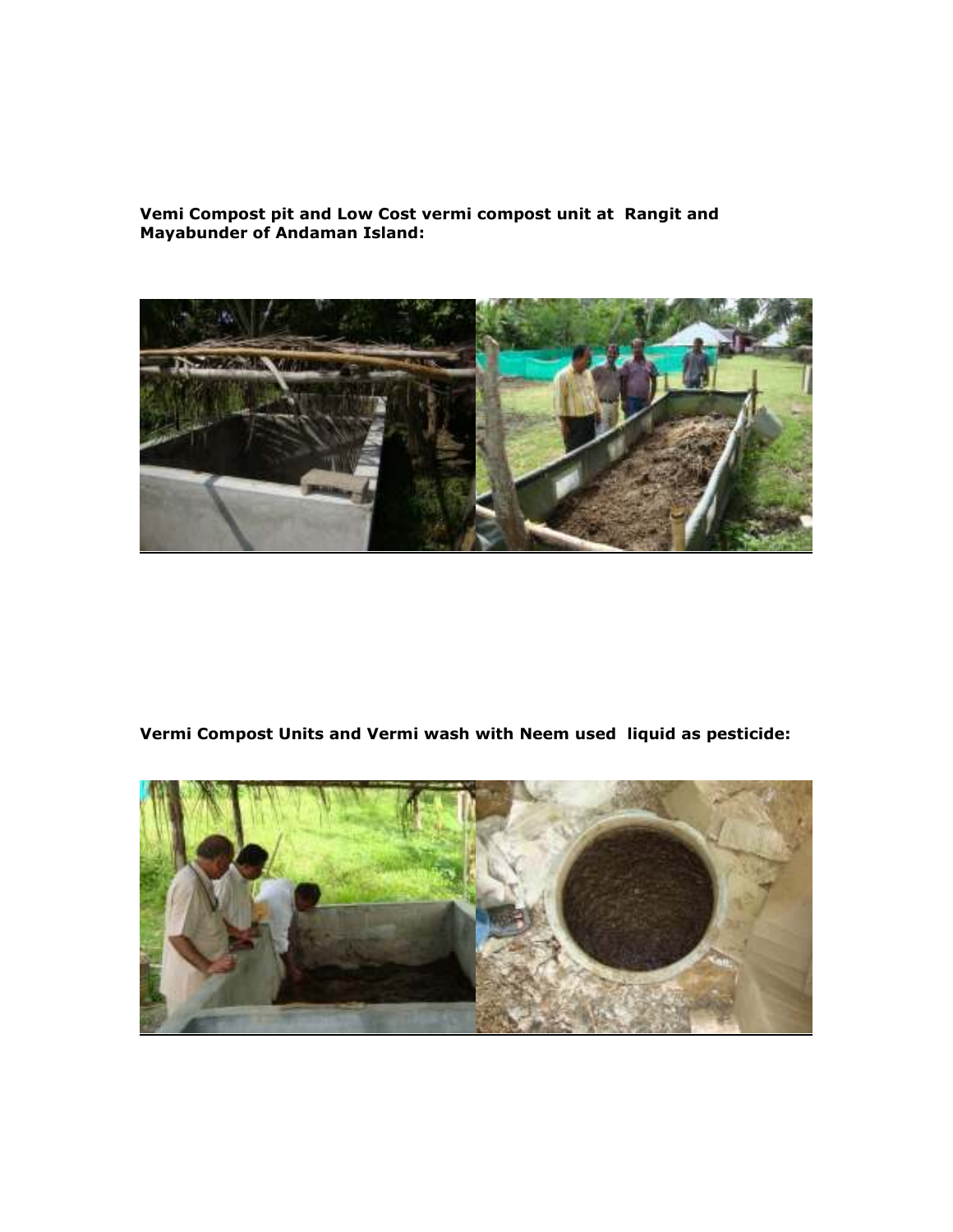Vemi Compost pit and Low Cost vermi compost unit at Rangit and Mayabunder of Andaman Island:



Vermi Compost Units and Vermi wash with Neem used liquid as pesticide:

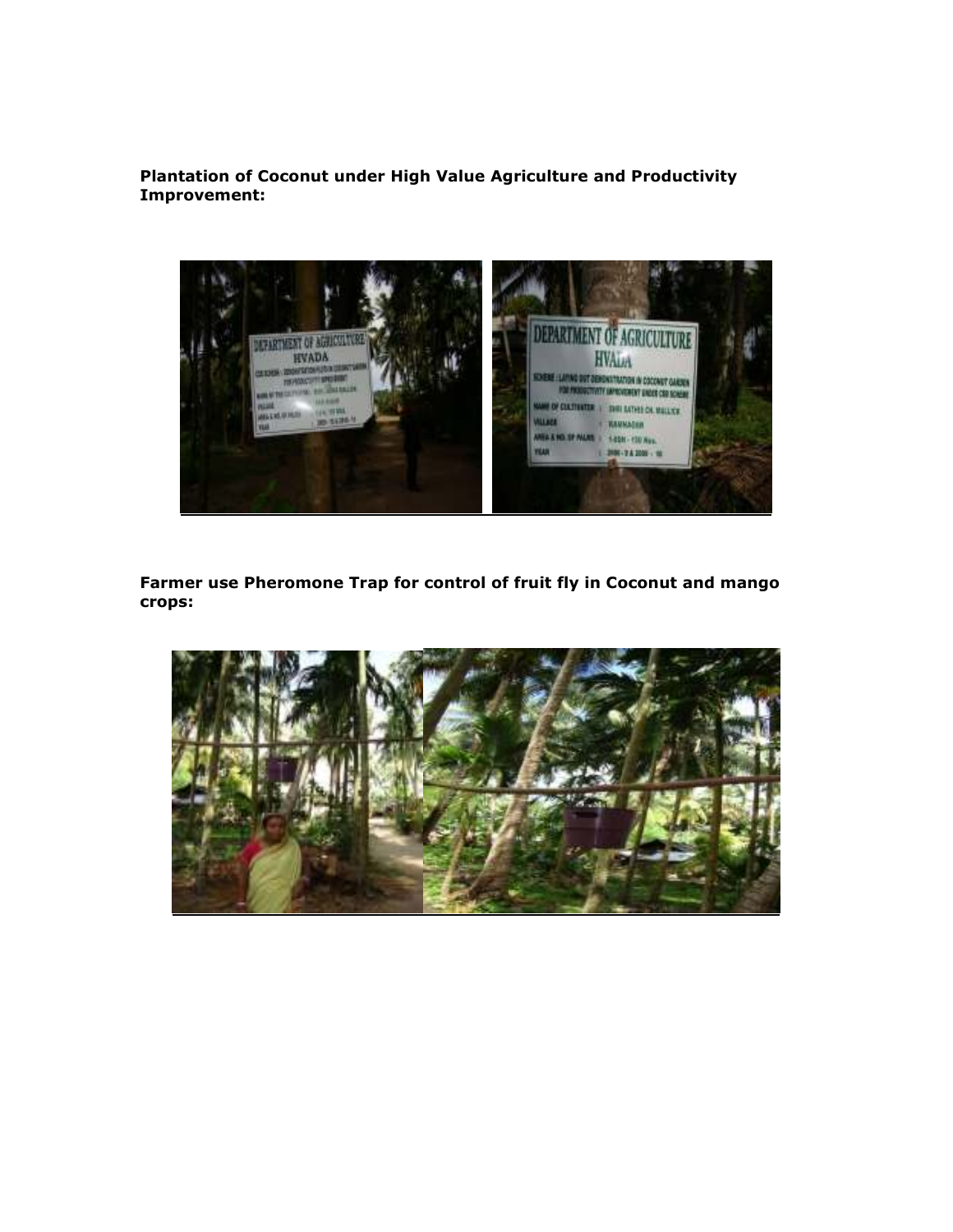Plantation of Coconut under High Value Agriculture and Productivity Improvement:



Farmer use Pheromone Trap for control of fruit fly in Coconut and mango crops:

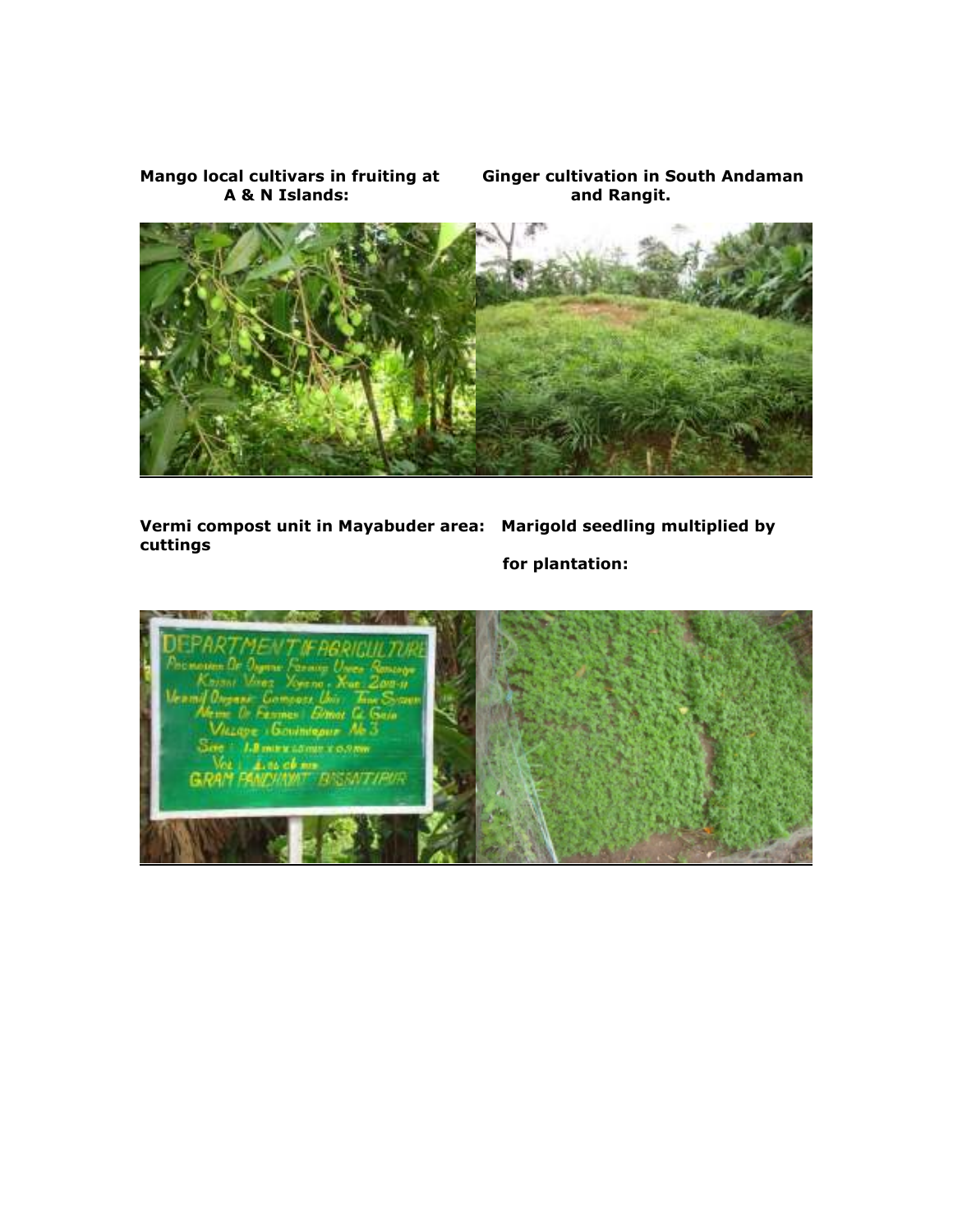A & N Islands: and Rangit.

# Mango local cultivars in fruiting at Ginger cultivation in South Andaman



# Vermi compost unit in Mayabuder area: Marigold seedling multiplied by cuttings

for plantation:

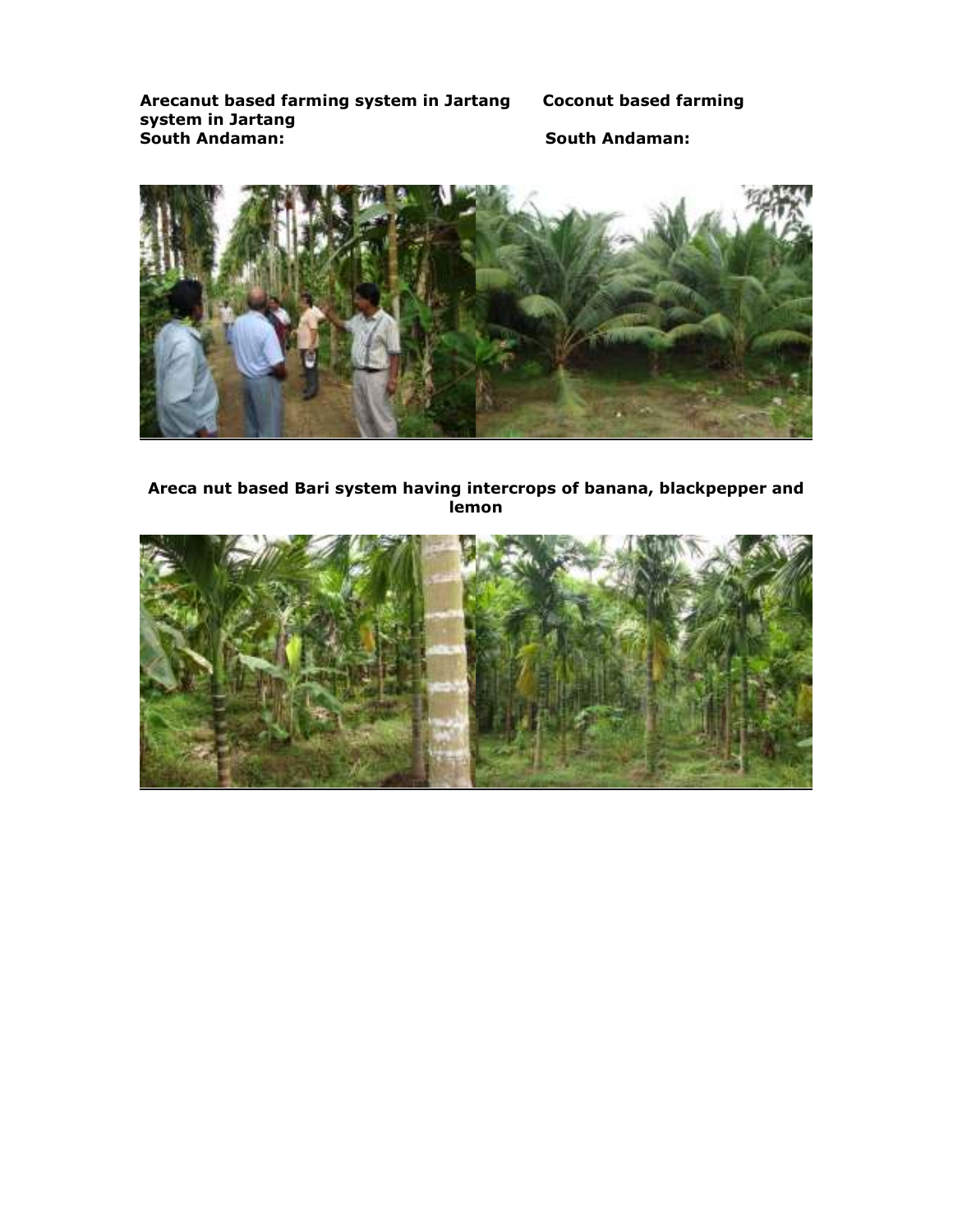Arecanut based farming system in Jartang Coconut based farming system in Jartang South Andaman: South Andaman:



Areca nut based Bari system having intercrops of banana, blackpepper and lemon

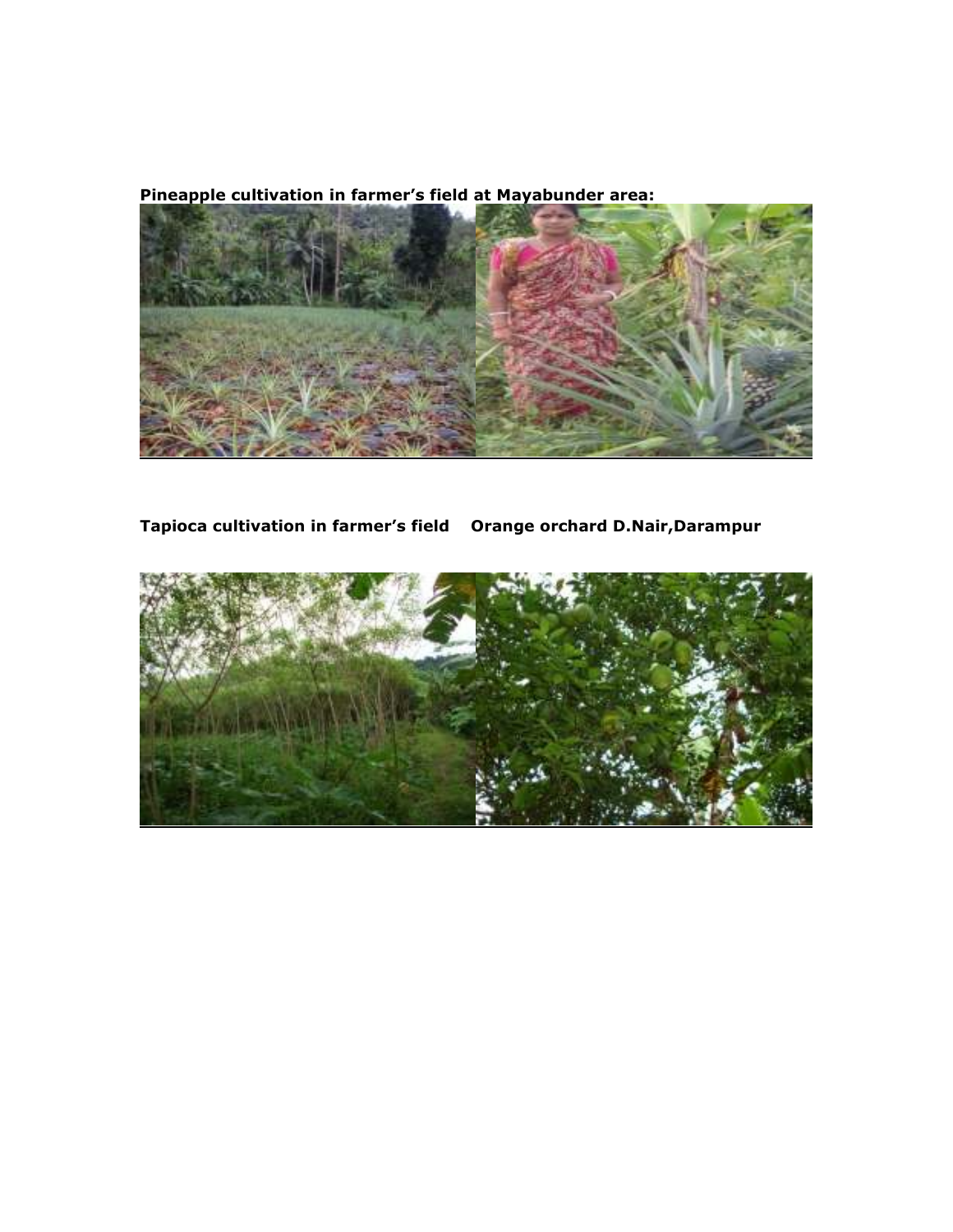Pineapple cultivation in farmer's field at Mayabunder area:



Tapioca cultivation in farmer's field Orange orchard D.Nair,Darampur

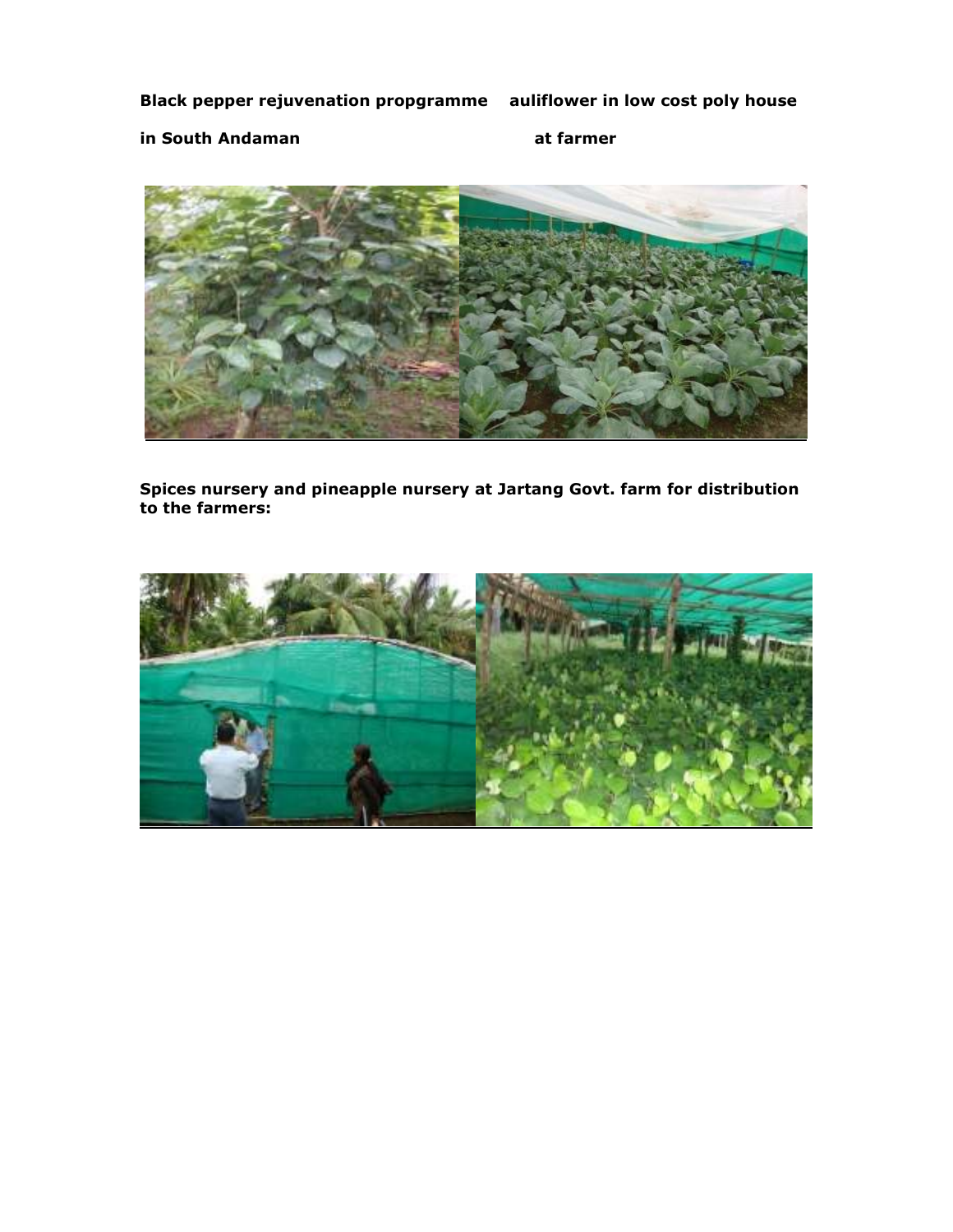Black pepper rejuvenation propgramme auliflower in low cost poly house

in South Andaman at farmer



Spices nursery and pineapple nursery at Jartang Govt. farm for distribution to the farmers:

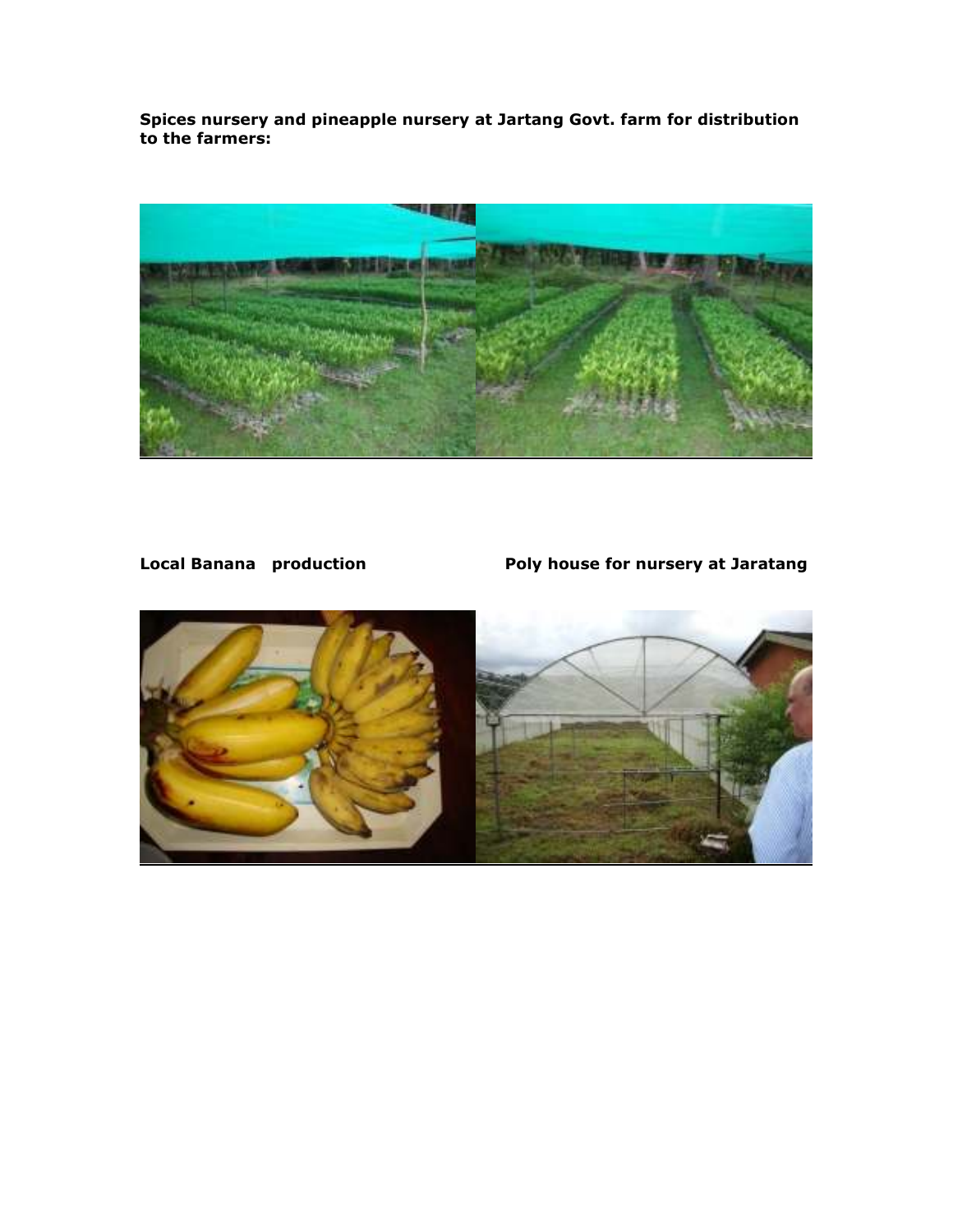Spices nursery and pineapple nursery at Jartang Govt. farm for distribution to the farmers:



# Local Banana production **Poly house for nursery at Jaratang**